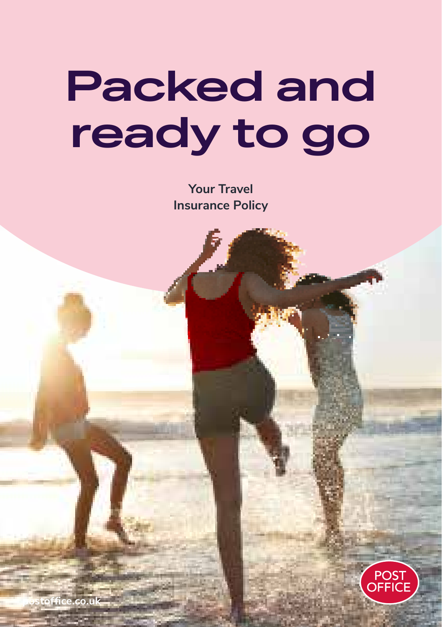# **Packed and ready to go**

**Your Travel Insurance Policy**



1

**postoffice.co.uk**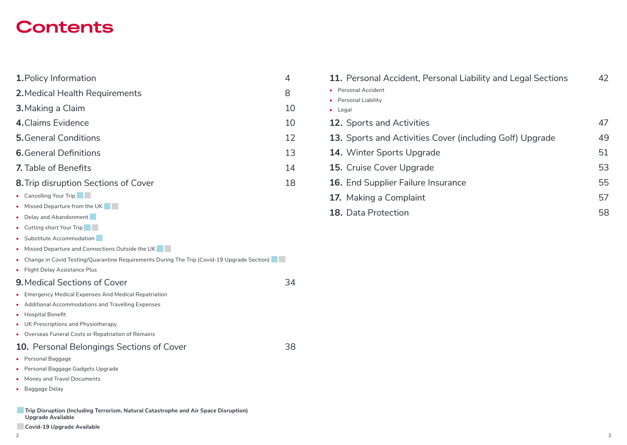## **Contents**

- **1.**Policy Information 4
- **2.**Medical Health Requirements 8
- **3.**Making a Claim 10
- **4.**Claims Evidence 10
- **5.**General Conditions **12**
- **6.** General Definitions 13
- **7.** Table of Benefits 14
- **8.** Trip disruption Sections of Cover 18
- Cancelling Your Trip
- **•** Missed Departure from the UK
- **•** Delay and Abandonment
- **•** Cutting short Your Trip
- **•** Substitute Accommodation
- **•** Missed Departure and Connections Outside the UK
- Change in Covid Testing/Quarantine Requirements During The Trip (Covid-19 Upgrade Section)
- **•** Flight Delay Assistance Plus

### **9.** Medical Sections of Cover 34

- **•** Emergency Medical Expenses And Medical Repatriation
- **•** Additional Accommodations and Travelling Expenses
- **•** Hospital Benefit
- **•** UK Prescriptions and Physiotherapy
- **•** Overseas Funeral Costs or Repatriation of Remains

### **10.** Personal Belongings Sections of Cover 38

- **•** Personal Baggage
- **•** Personal Baggage Gadgets Upgrade
- **•** Money and Travel Documents
- **•** Baggage Delay
- **Trip Disruption (Including Terrorism, Natural Catastrophe and Air Space Disruption) Upgrade Available**
- **Covid-19 Upgrade Available**

| 11. Personal Accident, Personal Liability and Legal Sections | 42 |
|--------------------------------------------------------------|----|
| • Personal Accident                                          |    |
| • Personal Liability                                         |    |
| $\bullet$ Legal                                              |    |
| <b>12.</b> Sports and Activities                             | 47 |
| 13. Sports and Activities Cover (including Golf) Upgrade     | 49 |
| <b>14.</b> Winter Sports Upgrade                             | 51 |
| <b>15.</b> Cruise Cover Upgrade                              | 53 |
| 16. End Supplier Failure Insurance                           | 55 |
| 17. Making a Complaint                                       | 57 |

**18.** Data Protection 58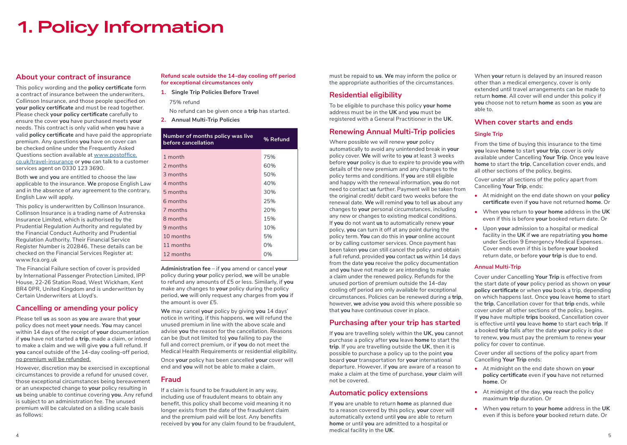## **1. Policy Information**

### **About your contract of insurance**

This policy wording and the **policy certificate** form a contract of insurance between the underwriters, Collinson Insurance, and those people specified on **your policy certificate** and must be read together. Please check **your policy certificate** carefully to ensure the cover **you** have purchased meets **your** needs. This contract is only valid when **you** have a valid **policy certificate** and have paid the appropriate premium. Any questions **you** have on cover can be checked online under the Frequently Asked Questions section available at www.postoffice. co.uk/travel-insurance or **you** can talk to a customer services agent on 0330 123 3690.

Both **we** and **you** are entitled to choose the law applicable to the insurance. **We** propose English Law and in the absence of any agreement to the contrary, English Law will apply.

This policy is underwritten by Collinson Insurance. Collinson Insurance is a trading name of Astrenska Insurance Limited, which is authorised by the Prudential Regulation Authority and regulated by the Financial Conduct Authority and Prudential Regulation Authority. Their Financial Service Register Number is 202846. These details can be checked on the Financial Services Register at: www.fca.org.uk

The Financial Failure section of cover is provided by International Passenger Protection Limited, IPP House, 22-26 Station Road, West Wickham, Kent BR4 0PR, United Kingdom and is underwritten by Certain Underwriters at Lloyd's.

### **Cancelling or amending your policy**

Please tell **us** as soon as **you** are aware that **your** policy does not meet **your** needs. **You** may cancel within 14 days of the receipt of **your** documentation if **you** have not started a **trip**, made a claim, or intend to make a claim and we will give **you** a full refund. If **you** cancel outside of the 14-day cooling-off period, no premium will be refunded.

However, discretion may be exercised in exceptional circumstances to provide a refund for unused cover, those exceptional circumstances being bereavement or an unexpected change to **your** policy resulting in **us** being unable to continue covering **you**. Any refund is subject to an administration fee. The unused premium will be calculated on a sliding scale basis as follows:

#### **Refund scale outside the 14-day cooling off period for exceptional circumstances only**

**1. Single Trip Policies Before Travel** 75% refund

No refund can be given once a **trip** has started.

**2. Annual Multi-Trip Policies**

| Number of months policy was live<br>before cancellation | % Refund |
|---------------------------------------------------------|----------|
| 1 month                                                 | 75%      |
| 2 months                                                | 60%      |
| 3 months                                                | 50%      |
| 4 months                                                | 40%      |
| 5 months                                                | 30%      |
| 6 months                                                | 25%      |
| 7 months                                                | 20%      |
| 8 months                                                | 15%      |
| 9 months                                                | 10%      |
| 10 months                                               | 5%       |
| 11 months                                               | 0%       |
| 12 months                                               | 0%       |

**Administration fee** – if **you** amend or cancel **your** policy during **your** policy period, **we** will be unable to refund any amounts of £5 or less. Similarly, if **you** make any changes to **your** policy during the policy period, **we** will only request any charges from **you** if the amount is over £5.

**We** may cancel **your** policy by giving **you** 14 days' notice in writing, if this happens, **we** will refund the unused premium in line with the above scale and advise **you** the reason for the cancellation. Reasons can be (but not limited to) **you** failing to pay the full and correct premium, or if **you** do not meet the Medical Health Requirements or residential eligibility.

Once **your** policy has been cancelled **your** cover will end and **you** will not be able to make a claim.

### **Fraud**

If a claim is found to be fraudulent in any way, including use of fraudulent means to obtain any benefit, this policy shall become void meaning it no longer exists from the date of the fraudulent claim and the premium paid will be lost. Any benefits received by **you** for any claim found to be fraudulent, must be repaid to **us**. **We** may inform the police or the appropriate authorities of the circumstances.

### **Residential eligibility**

To be eligible to purchase this policy **your home** address must be in the **UK** and **you** must be registered with a General Practitioner in the **UK**.

### **Renewing Annual Multi-Trip policies**

Where possible we will renew **your** policy automatically to avoid any unintended break in **your** policy cover. **We** will write to **you** at least 3 weeks before **your** policy is due to expire to provide **you** with details of the new premium and any changes to the policy terms and conditions. If **you** are still eligible and happy with the renewal information, **you** do not need to contact **us** further. Payment will be taken from the original credit/ debit card two weeks before the renewal date. **We** will remind **you** to tell **us** about any changes to **your** personal circumstances, including any new or changes to existing medical conditions. If **you** do not want **us** to automatically renew **your** policy, **you** can turn it off at any point during the policy term. **You** can do this in **your** online account or by calling customer services. Once payment has been taken **you** can still cancel the policy and obtain a full refund, provided **you** contact **us** within 14 days from the date **you** receive the policy documentation and **you** have not made or are intending to make a claim under the renewed policy. Refunds for the unused portion of premium outside the 14-day cooling off period are only available for exceptional circumstances. Policies can be renewed during a **trip**, however, **we** advise **you** avoid this where possible so that **you** have continuous cover in place.

### **Purchasing after your trip has started**

If **you** are travelling solely within the **UK**, **you** cannot purchase a policy after **you** leave **home** to start the **trip**. If you are travelling outside the **UK**, then it is possible to purchase a policy up to the point **you** board **your** transportation for **your** international departure. However, if **you** are aware of a reason to make a claim at the time of purchase, **your** claim will not be covered.

### **Automatic policy extensions**

If **you** are unable to return **home** as planned due to a reason covered by this policy, **your** cover will automatically extend until **you** are able to return **home** or until **you** are admitted to a hospital or medical facility in the **UK**.

When **your** return is delayed by an insured reason other than a medical emergency, cover is only extended until travel arrangements can be made to return **home**. All cover will end under this policy if **you** choose not to return **home** as soon as **you** are able to.

### **When cover starts and ends**

#### **Single Trip**

From the time of buying this insurance to the time **you** leave **home** to start **your trip**, cover is only available under Cancelling **Your Trip**. Once **you** leave **home** to start the **trip**, Cancellation cover ends, and all other sections of the policy, begins.

Cover under all sections of the policy apart from Cancelling **Your Trip**, ends:

- **•** At midnight on the end date shown on your **policy certificate** even if **you** have not returned **home**. Or
- **•** When **you** return to **your home** address in the **UK** even if this is before **your** booked return date. Or
- **•** Upon **your** admission to a hospital or medical facility in the **UK** if **we** are repatriating **you home** under Section 9 Emergency Medical Expenses. Cover ends even if this is before **your** booked return date, or before **your trip** is due to end.

#### **Annual Multi-Trip**

Cover under Cancelling **Your Trip** is effective from the start date of **your** policy period as shown on **your policy certificate** or when **you** book a trip, depending on which happens last. Once **you** leave **home** to start the **trip**, Cancellation cover for that **trip** ends, while cover under all other sections of the policy, begins. If **you** have multiple **trips** booked, Cancellation cover is effective until **you** leave **home** to start each **trip**. If a booked **trip** falls after the date **your** policy is due to renew, **you** must pay the premium to renew **your** policy for cover to continue.

Cover under all sections of the policy apart from Cancelling **Your Trip** ends:

- **•** At midnight on the end date shown on **your policy certificate** even if **you** have not returned **home**. Or
- **•** At midnight of the day, **you** reach the policy maximum **trip** duration. Or
- **•** When **you** return to **your home** address in the **UK** even if this is before **your** booked return date. Or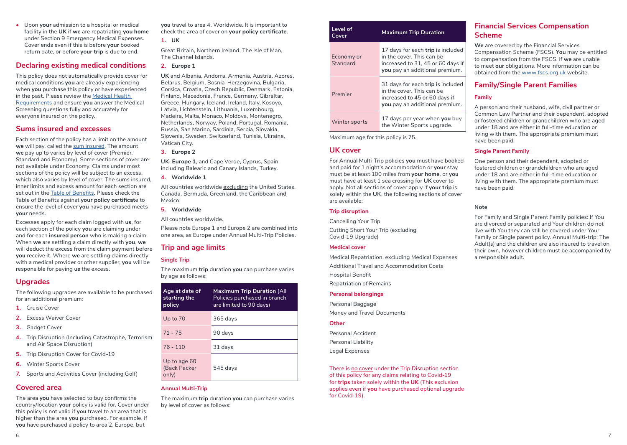**•** Upon **your** admission to a hospital or medical facility in the **UK** if **we** are repatriating **you home** under Section 9 Emergency Medical Expenses. Cover ends even if this is before **your** booked return date, or before **your trip** is due to end.

#### **Declaring existing medical conditions**

This policy does not automatically provide cover for medical conditions **you** are already experiencing when **you** purchase this policy or have experienced in the past. Please review the Medical Health Requirements and ensure **you** answer the Medical Screening questions fully and accurately for everyone insured on the policy.

#### **Sums insured and excesses**

Each section of the policy has a limit on the amount **we** will pay, called the sum insured. The amount **we** pay up to varies by level of cover (Premier, Standard and Economy). Some sections of cover are not available under Economy. Claims under most sections of the policy will be subject to an excess, which also varies by level of cover. The sums insured, inner limits and excess amount for each section are set out in the Table of Benefits. Please check the Table of Benefits against **your policy certificat**e to ensure the level of cover **you** have purchased meets **your** needs.

Excesses apply for each claim logged with **us**, for each section of the policy **you** are claiming under and for each **insured person** who is making a claim. When **we** are settling a claim directly with **you**, **we** will deduct the excess from the claim payment before **you** receive it. Where **we** are settling claims directly with a medical provider or other supplier, **you** will be responsible for paying **us** the excess.

### **Upgrades**

The following upgrades are available to be purchased for an additional premium:

- **1.** Cruise Cover
- **2.** Excess Waiver Cover
- **3.** Gadget Cover
- **4.** Trip Disruption (Including Catastrophe, Terrorism and Air Space Disruption)
- **5.** Trip Disruption Cover for Covid-19
- **6.** Winter Sports Cover
- **7.** Sports and Activities Cover (including Golf)

### **Covered area**

The area **you** have selected to buy confirms the country/location **your** policy is valid for. Cover under this policy is not valid if **you** travel to an area that is higher than the area **you** purchased. For example, if **you** have purchased a policy to area 2. Europe, but

**you** travel to area 4. Worldwide. It is important to check the area of cover on **your policy certificate**.

**1. UK**

Great Britain, Northern Ireland, The Isle of Man, The Channel Islands.

#### **2. Europe 1**

**UK** and Albania, Andorra, Armenia, Austria, Azores, Belarus, Belgium, Bosnia-Herzegovina, Bulgaria, Corsica, Croatia, Czech Republic, Denmark, Estonia, Finland, Macedonia, France, Germany, Gibraltar, Greece, Hungary, Iceland, Ireland, Italy, Kosovo, Latvia, Lichtenstein, Lithuania, Luxembourg, Madeira, Malta, Monaco, Moldova, Montenegro, Netherlands, Norway, Poland, Portugal, Romania, Russia, San Marino, Sardinia, Serbia, Slovakia, Slovenia, Sweden, Switzerland, Tunisia, Ukraine, Vatican City.

#### **3. Europe 2**

**UK**, **Europe 1**, and Cape Verde, Cyprus, Spain including Balearic and Canary Islands, Turkey.

**4. Worldwide 1**

All countries worldwide excluding the United States, Canada, Bermuda, Greenland, the Caribbean and Mexico.

#### **5. Worldwide**

All countries worldwide.

Please note Europe 1 and Europe 2 are combined into one area, as Europe under Annual Multi-Trip Policies.

### **Trip and age limits**

#### **Single Trip**

The maximum **trip** duration **you** can purchase varies by age as follows:

| Age at date of<br>starting the<br>policy | <b>Maximum Trip Duration (All</b><br>Policies purchased in branch<br>are limited to 90 days) |
|------------------------------------------|----------------------------------------------------------------------------------------------|
| Up to $70$                               | $365$ days                                                                                   |
| $71 - 75$                                | 90 days                                                                                      |
| $76 - 110$                               | 31 days                                                                                      |
| Up to age 60<br>(Back Packer<br>only)    | $545$ days                                                                                   |

#### **Annual Multi-Trip**

The maximum **trip** duration **you** can purchase varies by level of cover as follows:

| Level of<br>Cover      | <b>Maximum Trip Duration</b>                                                                                                          |  |  |  |
|------------------------|---------------------------------------------------------------------------------------------------------------------------------------|--|--|--|
| Economy or<br>Standard | 17 days for each trip is included<br>in the cover. This can be<br>increased to 31, 45 or 60 days if<br>you pay an additional premium. |  |  |  |
| Premier                | 31 days for each trip is included<br>in the cover. This can be<br>increased to 45 or 60 days if<br>you pay an additional premium.     |  |  |  |
| Winter sports          | 17 days per year when you buy<br>the Winter Sports upgrade.                                                                           |  |  |  |

Maximum age for this policy is 75.

#### **UK cover**

For Annual Multi-Trip policies **you** must have booked and paid for 1 night's accommodation or **your** stay must be at least 100 miles from **your home**, or **you** must have at least 1 sea crossing for **UK** cover to apply. Not all sections of cover apply if **your trip** is solely within the **UK**, the following sections of cover are available:

#### **Trip disruption**

Cancelling Your Trip

Cutting Short Your Trip (excluding Covid-19 Upgrade)

#### **Medical cover**

Medical Repatriation, excluding Medical Expenses Additional Travel and Accommodation Costs Hospital Benefit

Repatriation of Remains

#### **Personal belongings**

Personal Baggage Money and Travel Documents

#### **Other**

Personal Accident Personal Liability Legal Expenses

There is no cover under the Trip Disruption section of this policy for any claims relating to Covid-19 for **trips** taken solely within the **UK** (This exclusion applies even if **you** have purchased optional upgrade for Covid-19).

### **Financial Services Compensation Scheme**

**We** are covered by the Financial Services Compensation Scheme (FSCS). **You** may be entitled to compensation from the FSCS, if **we** are unable to meet **our** obligations. More information can be obtained from the www.fscs.org.uk website.

### **Family/Single Parent Families**

#### **Family**

A person and their husband, wife, civil partner or Common Law Partner and their dependent, adopted or fostered children or grandchildren who are aged under 18 and are either in full-time education or living with them. The appropriate premium must have been paid.

#### **Single Parent Family**

One person and their dependent, adopted or fostered children or grandchildren who are aged under 18 and are either in full-time education or living with them. The appropriate premium must have been paid.

#### **Note**

For Family and Single Parent Family policies: If You are divorced or separated and Your children do not live with You they can still be covered under Your Family or Single parent policy. Annual Multi-trip: The Adult(s) and the children are also insured to travel on their own, however children must be accompanied by a responsible adult.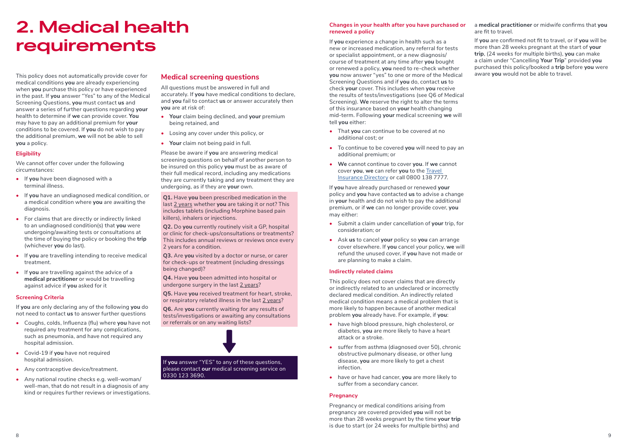## **2. Medical health requirements**

This policy does not automatically provide cover for medical conditions **you** are already experiencing when **you** purchase this policy or have experienced in the past. If **you** answer "Yes" to any of the Medical Screening Questions, **you** must contact **us** and answer a series of further questions regarding **your** health to determine if **we** can provide cover. **You** may have to pay an additional premium for **your** conditions to be covered. If **you** do not wish to pay the additional premium, **we** will not be able to sell **you** a policy.

#### **Eligibility**

We cannot offer cover under the following circumstances:

- **•** If **you** have been diagnosed with a terminal illness.
- **•** If **you** have an undiagnosed medical condition, or a medical condition where **you** are awaiting the diagnosis.
- **•** For claims that are directly or indirectly linked to an undiagnosed condition(s) that **you** were undergoing/awaiting tests or consultations at the time of buying the policy or booking the **trip** (whichever **you** do last).
- **•** If **you** are travelling intending to receive medical treatment.
- **•** If **you** are travelling against the advice of a **medical practitioner** or would be travelling against advice if **you** asked for it

#### **Screening Criteria**

If **you** are only declaring any of the following **you** do not need to contact **us** to answer further questions

- **•** Coughs, colds, Influenza (flu) where **you** have not required any treatment for any complications, such as pneumonia, and have not required any hospital admission.
- **•** Covid-19 if **you** have not required hospital admission.
- **•** Any contraceptive device/treatment.
- **•** Any national routine checks e.g. well-woman/ well-man, that do not result in a diagnosis of any kind or requires further reviews or investigations.

#### **Medical screening questions**

All questions must be answered in full and accurately. If **you** have medical conditions to declare, and **you** fail to contact **us** or answer accurately then **you** are at risk of:

- **• Your** claim being declined, and **your** premium being retained, and
- **•** Losing any cover under this policy, or
- **• Your** claim not being paid in full.

Please be aware if **you** are answering medical screening questions on behalf of another person to be insured on this policy **you** must be as aware of their full medical record, including any medications they are currently taking and any treatment they are undergoing, as if they are **your** own.

**Q1.** Have **you** been prescribed medication in the last 2 years whether **you** are taking it or not? This includes tablets (including Morphine based pain killers), inhalers or injections.

**Q2.** Do **you** currently routinely visit a GP, hospital or clinic for check-ups/consultations or treatments? This includes annual reviews or reviews once every 2 years for a condition.

**Q3.** Are **you** visited by a doctor or nurse, or carer for check-ups or treatment (including dressings being changed)?

**Q4.** Have **you** been admitted into hospital or undergone surgery in the last 2 years?

**Q5.** Have **you** received treatment for heart, stroke, or respiratory related illness in the last 2 years?

**Q6.** Are **you** currently waiting for any results of tests/investigations or awaiting any consultations or referrals or on any waiting lists?



0330 123 3690.

#### **Changes in your health after you have purchased or renewed a policy**

If **you** experience a change in health such as a new or increased medication, any referral for tests or specialist appointment, or a new diagnosis/ course of treatment at any time after **you** bought or renewed a policy, **you** need to re-check whether **you** now answer "yes" to one or more of the Medical Screening Questions and if **you** do, contact **us** to check **your** cover. This includes when **you** receive the results of tests/investigations (see Q6 of Medical Screening). **We** reserve the right to alter the terms of this insurance based on **your** health changing mid-term. Following **your** medical screening **we** will tell **you** either:

- **•** That **you** can continue to be covered at no additional cost; or
- **•** To continue to be covered **you** will need to pay an additional premium; or
- **• We** cannot continue to cover **you**. If **we** cannot cover **you**, **we** can refer **you** to the Travel Insurance Directory or call 0800 138 7777.

If **you** have already purchased or renewed **your** policy and **you** have contacted **us** to advise a change in **your** health and do not wish to pay the additional premium, or if **we** can no longer provide cover, **you** may either:

- **•** Submit a claim under cancellation of **your** trip, for consideration; or
- **•** Ask **us** to cancel **your** policy so **you** can arrange cover elsewhere. If **you** cancel your policy, **we** will refund the unused cover, if **you** have not made or are planning to make a claim.

#### **Indirectly related claims**

This policy does not cover claims that are directly or indirectly related to an undeclared or incorrectly declared medical condition. An indirectly related medical condition means a medical problem that is more likely to happen because of another medical problem **you** already have. For example, if **you**:

- **•** have high blood pressure, high cholesterol, or diabetes, **you** are more likely to have a heart attack or a stroke.
- **•** suffer from asthma (diagnosed over 50), chronic obstructive pulmonary disease, or other lung disease, **you** are more likely to get a chest infection.
- **•** have or have had cancer, **you** are more likely to suffer from a secondary cancer.

#### **Pregnancy**

Pregnancy or medical conditions arising from pregnancy are covered provided **you** will not be more than 28 weeks pregnant by the time **your trip** is due to start (or 24 weeks for multiple births) and

a **medical practitioner** or midwife confirms that **you** are fit to travel.

If **you** are confirmed not fit to travel, or if **you** will be more than 28 weeks pregnant at the start of **your trip**, (24 weeks for multiple births), **you** can make a claim under "Cancelling **Your Trip**" provided **you** purchased this policy/booked a **trip** before **you** were aware **you** would not be able to travel.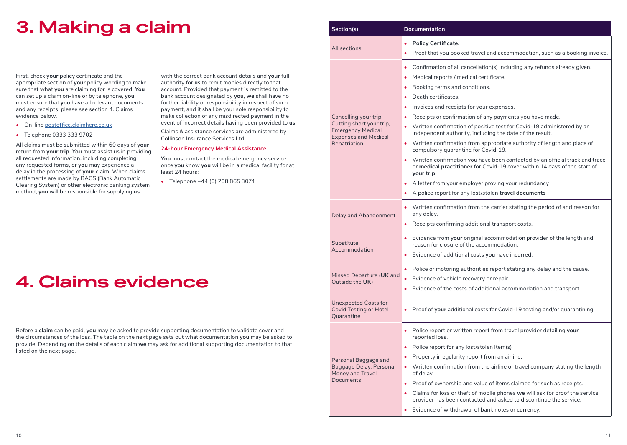## **3. Making a claim**

First, check **your** policy certificate and the appropriate section of **your** policy wording to make sure that what **you** are claiming for is covered. **You** can set up a claim on-line or by telephone, **you** must ensure that **you** have all relevant documents and any receipts, please see section 4. Claims evidence below.

- **•** On-line postoffice.claimhere.co.uk
- **•** Telephone 0333 333 9702

All claims must be submitted within 60 days of **your** return from **your trip**. **You** must assist us in providing all requested information, including completing any requested forms, or **you** may experience a delay in the processing of **your** claim. When claims settlements are made by BACS (Bank Automatic Clearing System) or other electronic banking system method, **you** will be responsible for supplying **us**

with the correct bank account details and **your** full authority for **us** to remit monies directly to that account. Provided that payment is remitted to the bank account designated by **you**, **we** shall have no further liability or responsibility in respect of such payment, and it shall be your sole responsibility to make collection of any misdirected payment in the event of incorrect details having been provided to **us**.

Claims & assistance services are administered by Collinson Insurance Services Ltd.

#### **24-hour Emergency Medical Assistance**

**You** must contact the medical emergency service once **you** know **you** will be in a medical facility for at least 24 hours:

**•** Telephone +44 (0) 208 865 3074

## **4. Claims evidence**

Before a **claim** can be paid, **you** may be asked to provide supporting documentation to validate cover and the circumstances of the loss. The table on the next page sets out what documentation **you** may be asked to provide. Depending on the details of each claim **we** may ask for additional supporting documentation to that listed on the next page.

| Section(s)                                                                          | <b>Documentation</b>                                                                                                                                                     |  |  |  |  |  |
|-------------------------------------------------------------------------------------|--------------------------------------------------------------------------------------------------------------------------------------------------------------------------|--|--|--|--|--|
|                                                                                     | <b>Policy Certificate.</b>                                                                                                                                               |  |  |  |  |  |
| All sections                                                                        | Proof that you booked travel and accommodation, such as a booking invoice.                                                                                               |  |  |  |  |  |
|                                                                                     | • Confirmation of all cancellation(s) including any refunds already given.                                                                                               |  |  |  |  |  |
|                                                                                     | • Medical reports / medical certificate.                                                                                                                                 |  |  |  |  |  |
|                                                                                     | • Booking terms and conditions.                                                                                                                                          |  |  |  |  |  |
|                                                                                     | Death certificates.                                                                                                                                                      |  |  |  |  |  |
|                                                                                     | Invoices and receipts for your expenses.                                                                                                                                 |  |  |  |  |  |
| Cancelling your trip,                                                               | Receipts or confirmation of any payments you have made.                                                                                                                  |  |  |  |  |  |
| Cutting short your trip,<br><b>Emergency Medical</b><br><b>Expenses and Medical</b> | • Written confirmation of positive test for Covid-19 administered by an<br>independent authority, including the date of the result.                                      |  |  |  |  |  |
| Repatriation                                                                        | • Written confirmation from appropriate authority of length and place of<br>compulsory quarantine for Covid-19.                                                          |  |  |  |  |  |
|                                                                                     | • Written confirmation you have been contacted by an official track and trace<br>or medical practitioner for Covid-19 cover within 14 days of the start of<br>your trip. |  |  |  |  |  |
|                                                                                     | • A letter from your employer proving your redundancy                                                                                                                    |  |  |  |  |  |
|                                                                                     | • A police report for any lost/stolen travel documents                                                                                                                   |  |  |  |  |  |
| Delay and Abandonment                                                               | • Written confirmation from the carrier stating the period of and reason for<br>any delay.                                                                               |  |  |  |  |  |
|                                                                                     | • Receipts confirming additional transport costs.                                                                                                                        |  |  |  |  |  |
| Substitute                                                                          | • Evidence from your original accommodation provider of the length and<br>reason for closure of the accommodation.                                                       |  |  |  |  |  |
| Accommodation                                                                       | • Evidence of additional costs you have incurred.                                                                                                                        |  |  |  |  |  |
|                                                                                     | • Police or motoring authorities report stating any delay and the cause.                                                                                                 |  |  |  |  |  |
| Missed Departure (UK and                                                            | Evidence of vehicle recovery or repair.                                                                                                                                  |  |  |  |  |  |
| Outside the UK)                                                                     | Evidence of the costs of additional accommodation and transport.                                                                                                         |  |  |  |  |  |
| <b>Unexpected Costs for</b><br><b>Covid Testing or Hotel</b><br>Quarantine          | • Proof of your additional costs for Covid-19 testing and/or quarantining.                                                                                               |  |  |  |  |  |
|                                                                                     | • Police report or written report from travel provider detailing your<br>reported loss.                                                                                  |  |  |  |  |  |
|                                                                                     | • Police report for any lost/stolen item(s)                                                                                                                              |  |  |  |  |  |
| Personal Baggage and                                                                | Property irregularity report from an airline.                                                                                                                            |  |  |  |  |  |
| Baggage Delay, Personal<br>Money and Travel                                         | Written confirmation from the airline or travel company stating the length<br>$\bullet$<br>of delay.                                                                     |  |  |  |  |  |
| Documents                                                                           | Proof of ownership and value of items claimed for such as receipts.                                                                                                      |  |  |  |  |  |
|                                                                                     | Claims for loss or theft of mobile phones we will ask for proof the service<br>$\bullet$<br>provider has been contacted and asked to discontinue the service.            |  |  |  |  |  |
|                                                                                     | Evidence of withdrawal of bank notes or currency.<br>٠                                                                                                                   |  |  |  |  |  |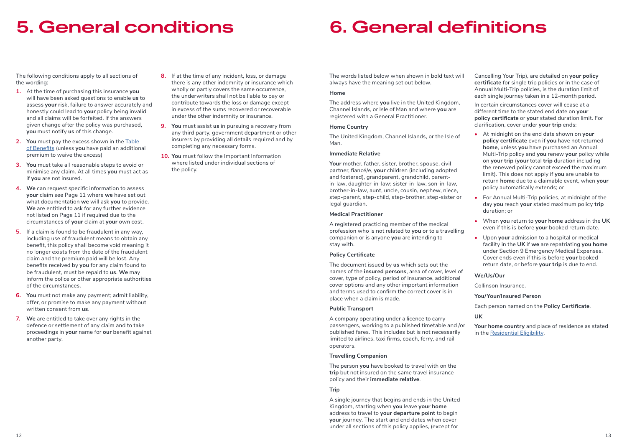## **5. General conditions**

## **6. General definitions**

The following conditions apply to all sections of the wording:

- **1.** At the time of purchasing this insurance **you** will have been asked questions to enable **us** to assess **your** risk, failure to answer accurately and honestly could lead to **your** policy being invalid and all claims will be forfeited. If the answers given change after the policy was purchased, **you** must notify **us** of this change.
- **2. You** must pay the excess shown in the Table of Benefits (unless **you** have paid an additional premium to waive the excess)
- **3. You** must take all reasonable steps to avoid or minimise any claim. At all times **you** must act as if **you** are not insured.
- **4. We** can request specific information to assess **your** claim see Page 11 where **we** have set out what documentation **we** will ask **you** to provide. **We** are entitled to ask for any further evidence not listed on Page 11 if required due to the circumstances of **your** claim at **your** own cost.
- **5.** If a claim is found to be fraudulent in any way, including use of fraudulent means to obtain any benefit, this policy shall become void meaning it no longer exists from the date of the fraudulent claim and the premium paid will be lost. Any benefits received by **you** for any claim found to be fraudulent, must be repaid to **us**. **We** may inform the police or other appropriate authorities of the circumstances.
- **6. You** must not make any payment; admit liability, offer, or promise to make any payment without written consent from **us**.
- **7. We** are entitled to take over any rights in the defence or settlement of any claim and to take proceedings in **your** name for **our** benefit against another party.
- **8.** If at the time of any incident, loss, or damage there is any other indemnity or insurance which wholly or partly covers the same occurrence, the underwriters shall not be liable to pay or contribute towards the loss or damage except in excess of the sums recovered or recoverable under the other indemnity or insurance.
- **9. You** must assist **us** in pursuing a recovery from any third party, government department or other insurers by providing all details required and by completing any necessary forms.
- **10. You** must follow the Important Information where listed under individual sections of the policy.

The words listed below when shown in bold text will always have the meaning set out below.

#### **Home**

The address where **you** live in the United Kingdom, Channel Islands, or Isle of Man and where **you** are registered with a General Practitioner.

#### **Home Country**

The United Kingdom, Channel Islands, or the Isle of Man.

#### **Immediate Relative**

**Your** mother, father, sister, brother, spouse, civil partner, fiancé/e, **your** children (including adopted and fostered), grandparent, grandchild, parentin-law, daughter-in-law; sister-in-law, son-in-law, brother-in-law, aunt, uncle, cousin, nephew, niece, step-parent, step-child, step-brother, step-sister or legal guardian.

#### **Medical Practitioner**

A registered practicing member of the medical profession who is not related to **you** or to a travelling companion or is anyone **you** are intending to stay with.

#### **Policy Certificate**

The document issued by **us** which sets out the names of the **insured persons**, area of cover, level of cover, type of policy, period of insurance, additional cover options and any other important information and terms used to confirm the correct cover is in place when a claim is made.

#### **Public Transport**

A company operating under a licence to carry passengers, working to a published timetable and /or published fares. This includes but is not necessarily limited to airlines, taxi firms, coach, ferry, and rail operators.

#### **Travelling Companion**

The person **you** have booked to travel with on the **trip** but not insured on the same travel insurance policy and their **immediate relative**.

#### **Trip**

A single journey that begins and ends in the United Kingdom, starting when **you** leave **your home** address to travel to **your departure point** to begin **your** journey. The start and end dates when cover under all sections of this policy applies, (except for

Cancelling Your Trip), are detailed on **your policy certificate** for single trip policies or in the case of Annual Multi-Trip policies, is the duration limit of each single journey taken in a 12-month period.

In certain circumstances cover will cease at a different time to the stated end date on **your policy certificate** or **your** stated duration limit. For clarification, cover under **your trip** ends:

- **•** At midnight on the end date shown on **your policy certificate** even if **you** have not returned **home**, unless **you** have purchased an Annual Multi-Trip policy and **you** renew **your** policy while on **your trip** (**your** total **trip** duration including the renewed policy cannot exceed the maximum limit). This does not apply if **you** are unable to return **home** due to a claimable event, when **your** policy automatically extends; or
- **•** For Annual Multi-Trip policies, at midnight of the day **you** reach **your** stated maximum policy **trip** duration; or
- **•** When **you** return to **your home** address in the **UK** even if this is before **your** booked return date.
- **•** Upon **your** admission to a hospital or medical facility in the **UK** if **we** are repatriating **you home** under Section 9 Emergency Medical Expenses. Cover ends even if this is before **your** booked return date, or before **your trip** is due to end.

#### **We/Us/Our**

Collinson Insurance.

**You/Your/Insured Person**

Each person named on the **Policy Certificate**.

#### **UK**

**Your home country** and place of residence as stated in the Residential Eligibility.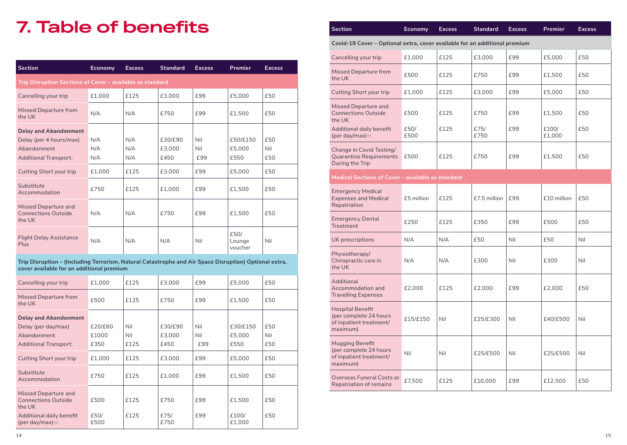## **7. Table of benefits**

| <b>Section</b>                                                                                         | <b>Economy</b>    | <b>Excess</b>     | <b>Standard</b>           | <b>Excess</b>     | <b>Premier</b>             | <b>Excess</b>     |
|--------------------------------------------------------------------------------------------------------|-------------------|-------------------|---------------------------|-------------------|----------------------------|-------------------|
| Trip Disruption Sections of Cover - available as standard                                              |                   |                   |                           |                   |                            |                   |
| Cancelling your trip                                                                                   | £1.000            | £125              | £3,000                    | £99               | £5,000                     | £50               |
| <b>Missed Departure from</b><br>the UK                                                                 | N/A               | N/A               | £750                      | £99               | £1.500                     | £50               |
| <b>Delay and Abandonment</b><br>Delay (per 4 hours/max)<br>Abandonment<br><b>Additional Transport:</b> | N/A<br>N/A<br>N/A | N/A<br>N/A<br>N/A | £30/£90<br>£3.000<br>£450 | Nil<br>Nil<br>£99 | £50/£150<br>£5,000<br>£550 | £50<br>Nil<br>£50 |
| <b>Cutting Short your trip</b>                                                                         | £1.000            | £125              | £3.000                    | £99               | £5,000                     | £50               |
| Substitute<br>Accommodation                                                                            | £750              | £125              | £1.000                    | £99               | £1.500                     | £50               |
| Missed Departure and<br><b>Connections Outside</b><br>the UK                                           | N/A               | N/A               | £750                      | £99               | £1.500                     | £50               |
| <b>Flight Delay Assistance</b><br>Plus                                                                 | N/A               | N/A               | N/A                       | Nil               | £50/<br>Lounge<br>voucher  | Nil               |

| Trip Disruption – (Including Terrorism, Natural Catastrophe and Air Space Disruption) Optional extra, |
|-------------------------------------------------------------------------------------------------------|
| cover available for an additional premium                                                             |

| Cancelling your trip                                         | £1,000       | £125 | £3.000       | £99 | £5,000          | £50 |
|--------------------------------------------------------------|--------------|------|--------------|-----|-----------------|-----|
| Missed Departure from<br>the UK                              | £500         | £125 | £750         | £99 | £1,500          | £50 |
| <b>Delay and Abandonment</b>                                 |              |      |              |     |                 |     |
| Delay (per day/max)                                          | £20/£60      | Nil  | £30/£90      | Nil | £30/£150        | £50 |
| Abandonment                                                  | £1000        | Nil  | £3.000       | Nil | £5,000          | Nil |
| <b>Additional Transport:</b>                                 | £350         | £125 | £450         | £99 | £550            | £50 |
| <b>Cutting Short your trip</b>                               | £1,000       | £125 | £3,000       | £99 | £5,000          | £50 |
| Substitute<br>Accommodation                                  | £750         | £125 | £1.000       | £99 | £1.500          | £50 |
| Missed Departure and<br><b>Connections Outside</b><br>the UK | £500         | £125 | £750         | £99 | £1,500          | £50 |
| Additional daily benefit<br>(per day/max) $\sim$ :           | £50/<br>£500 | £125 | £75/<br>£750 | £99 | £100/<br>£1.000 | £50 |

| Covid-19 Cover - Optional extra, cover available for an additional premium               |              |      |              |     |                 |     |
|------------------------------------------------------------------------------------------|--------------|------|--------------|-----|-----------------|-----|
| Cancelling your trip                                                                     | £1,000       | £125 | £3,000       | £99 | £5,000          | £50 |
| <b>Missed Departure from</b><br>the UK                                                   | £500         | £125 | £750         | £99 | £1,500          | £50 |
| Cutting Short your trip                                                                  | £1,000       | £125 | £3,000       | £99 | £5,000          | £50 |
| Missed Departure and<br><b>Connections Outside</b><br>the UK                             | £500         | £125 | £750         | £99 | £1,500          | £50 |
| Additional daily benefit<br>(per day/max)~:                                              | £50/<br>£500 | £125 | £75/<br>£750 | £99 | £100/<br>£1,000 | £50 |
| Change in Covid Testing/<br><b>Quarantine Requirements</b><br>During the Trip            | £500         | £125 | £750         | £99 | £1,500          | £50 |
| Medical Sections of Cover - available as standard                                        |              |      |              |     |                 |     |
| <b>Emergency Medical</b><br><b>Expenses and Medical</b><br>Repatriation                  | £5 million   | £125 | £7.5 million | £99 | £10 million     | £50 |
| <b>Emergency Dental</b><br>Treatment                                                     | £250         | £125 | £350         | £99 | £500            | £50 |
| UK prescriptions                                                                         | N/A          | N/A  | £50          | Nil | £50             | Nil |
| Physiotherapy/<br>Chiropractic care in<br>the UK                                         | N/A          | N/A  | £300         | Nil | £300            | Nil |
| Additional<br>Accommodation and<br><b>Travelling Expenses</b>                            | £2,000       | £125 | £2,000       | £99 | £2,000          | £50 |
| <b>Hospital Benefit</b><br>(per complete 24 hours<br>of inpatient treatment/<br>maximum) | £15/£150     | Nil  | £25/£300     | Nil | £40/£500        | Nil |
| <b>Mugging Benefit</b><br>(per complete 24 hours<br>of inpatient treatment/<br>maximum)  | Nil          | Nil  | £25/£500     | Nil | £25/£500        | Nil |
| Overseas Funeral Costs or<br><b>Repatriation of remains</b>                              | £7,500       | £125 | £10,000      | £99 | £12,500         | £50 |

**Section Economy Excess Standard Excess Premier Excess**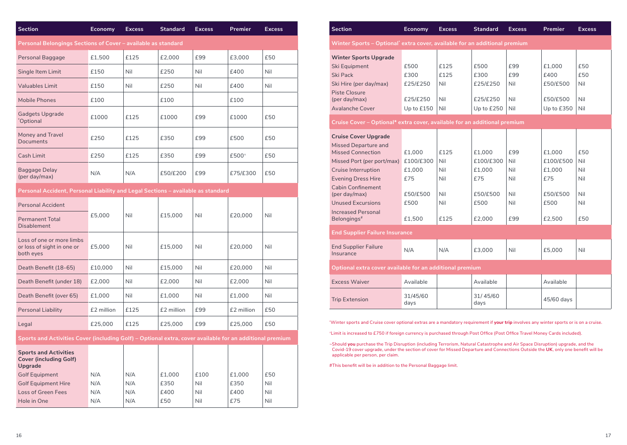| <b>Section</b>                                                                                           | Economy    | <b>Excess</b> | <b>Standard</b> | <b>Excess</b> | Premier     | <b>Excess</b> |  |
|----------------------------------------------------------------------------------------------------------|------------|---------------|-----------------|---------------|-------------|---------------|--|
| Personal Belongings Sections of Cover – available as standard                                            |            |               |                 |               |             |               |  |
| Personal Baggage                                                                                         | £1,500     | £125          | £2,000          | £99           | £3,000      | £50           |  |
| Single Item Limit                                                                                        | £150       | Nil           | £250            | Nil           | £400        | Nil           |  |
| <b>Valuables Limit</b>                                                                                   | £150       | Nil           | £250            | Nil           | £400        | Nil           |  |
| <b>Mobile Phones</b>                                                                                     | £100       |               | £100            |               | £100        |               |  |
| <b>Gadgets Upgrade</b><br>*Optional                                                                      | £1000      | £125          | £1000           | £99           | £1000       | £50           |  |
| Money and Travel<br>Documents                                                                            | £250       | £125          | £350            | £99           | £500        | £50           |  |
| Cash Limit                                                                                               | £250       | £125          | £350            | £99           | £500^       | £50           |  |
| Baggage Delay<br>(per day/max)                                                                           | N/A        | N/A           | £50/£200        | £99           | £75/£300    | £50           |  |
| Personal Accident, Personal Liability and Legal Sections – available as standard                         |            |               |                 |               |             |               |  |
| <b>Personal Accident</b>                                                                                 |            |               |                 |               |             |               |  |
| <b>Permanent Total</b><br><b>Disablement</b>                                                             | £5.000     | Nil           | £15.000         | Nil           | £20,000     | Nil           |  |
| Loss of one or more limbs<br>or loss of sight in one or<br>both eyes                                     | £5.000     | Nil           | £15,000         | Nil           | £20,000     | Nil           |  |
| Death Benefit (18-65)                                                                                    | £10,000    | Nil           | £15,000         | Nil           | £20,000     | Nil           |  |
| Death Benefit (under 18)                                                                                 | £2,000     | Nil           | £2,000          | Nil           | £2,000      | Nil           |  |
| Death Benefit (over 65)                                                                                  | £1.000     | Nil           | £1,000          | Nil           | £1.000      | Nil           |  |
| Personal Liability                                                                                       | £2 million | £125          | £2 million      | £99           | £2 million  | £50           |  |
| Legal                                                                                                    | £25,000    | £125          | £25.000         | £99           | £25,000     | £50           |  |
| Sports and Activities Cover (including Golf) – Optional extra, cover available for an additional premium |            |               |                 |               |             |               |  |
| <b>Sports and Activities</b><br><b>Cover (including Golf)</b><br>Upgrade                                 |            |               |                 |               |             |               |  |
| <b>Golf Equipment</b>                                                                                    | N/A        | N/A           | £1,000          | £100          | £1,000      | £50           |  |
| <b>Golf Equipment Hire</b>                                                                               | N/A        | N/A           | £350            | Nil           | £350        | Nil           |  |
| <b>Loss of Green Fees</b><br>Hole in One                                                                 | N/A<br>N/A | N/A<br>N/A    | £400<br>£50     | Nil<br>Nil    | £400<br>£75 | Nil<br>Nil    |  |

| <b>Section</b>                                                             | Economy          | <b>Excess</b> | <b>Standard</b>  | <b>Excess</b> | <b>Premier</b> | <b>Excess</b> |  |
|----------------------------------------------------------------------------|------------------|---------------|------------------|---------------|----------------|---------------|--|
| Winter Sports – Optional' extra cover, available for an additional premium |                  |               |                  |               |                |               |  |
| <b>Winter Sports Upgrade</b>                                               |                  |               |                  |               |                |               |  |
| Ski Equipment                                                              | £500             | £125          | £500             | £99           | £1.000         | £50           |  |
| <b>Ski Pack</b>                                                            | £300             | £125          | £300             | £99           | £400           | £50           |  |
| Ski Hire (per day/max)                                                     | £25/£250         | Nil           | £25/£250         | Nil           | £50/£500       | Nil           |  |
| <b>Piste Closure</b>                                                       |                  |               |                  |               |                |               |  |
| (per day/max)                                                              | £25/£250         | Nil           | £25/£250         | Nil           | £50/£500       | Nil           |  |
| <b>Avalanche Cover</b>                                                     | Up to £150       | Nil           | Up to £250       | Nil           | Up to £350     | Nil           |  |
| Cruise Cover - Optional* extra cover, available for an additional premium  |                  |               |                  |               |                |               |  |
| <b>Cruise Cover Upgrade</b>                                                |                  |               |                  |               |                |               |  |
| <b>Missed Departure and</b>                                                |                  |               |                  |               |                |               |  |
| <b>Missed Connection</b>                                                   | £1.000           | £125          | £1.000           | £99           | £1.000         | £50           |  |
| Missed Port (per port/max)                                                 | £100/£300        | Nil           | £100/£300        | Nil<br>Nil    | £100/£500      | Nil           |  |
| Cruise Interruption<br><b>Evening Dress Hire</b>                           | £1,000<br>£75    | Nil<br>Nil    | £1,000<br>£75    | Nil           | £1,000<br>£75  | Nil<br>Nil    |  |
| <b>Cabin Confinement</b>                                                   |                  |               |                  |               |                |               |  |
| (per day/max)                                                              | £50/£500         | Nil           | £50/£500         | Nil           | £50/£500       | Nil           |  |
| <b>Unused Excursions</b>                                                   | £500             | Nil           | £500             | Nil           | £500           | Nil           |  |
| <b>Increased Personal</b>                                                  |                  |               |                  |               |                |               |  |
| Belongings <sup>#</sup>                                                    | £1.500           | £125          | £2.000           | £99           | £2.500         | £50           |  |
| <b>End Supplier Failure Insurance</b>                                      |                  |               |                  |               |                |               |  |
| <b>End Supplier Failure</b>                                                | N/A              | N/A           | £3,000           | Nil           | £5,000         | Nil           |  |
| Insurance                                                                  |                  |               |                  |               |                |               |  |
| Optional extra cover available for an additional premium                   |                  |               |                  |               |                |               |  |
| <b>Excess Waiver</b>                                                       | Available        |               | Available        |               | Available      |               |  |
| <b>Trip Extension</b>                                                      | 31/45/60<br>days |               | 31/45/60<br>days |               | 45/60 days     |               |  |
|                                                                            |                  |               |                  |               |                |               |  |

"Winter sports and Cruise cover optional extras are a mandatory requirement if your trip involves any winter sports or is on a cruise.

^Limit is increased to £750 if foreign currency is purchased through Post Office (Post Office Travel Money Cards included).

-Should **you** purchase the Trip Disruption (including Terrorism, Natural Catastrophe and Air Space Disruption) upgrade, and the<br>Covid-19 cover upgrade, under the section of cover for Missed Departure and Connections Outsid applicable per person, per claim.

#This benefit will be in addition to the Personal Baggage limit.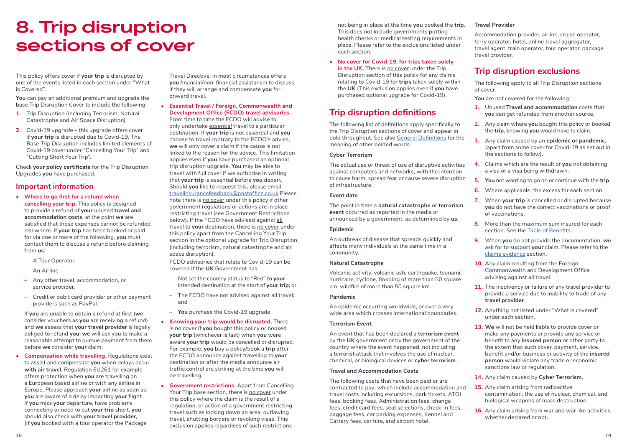## **8. Trip disruption sections of cover**

This policy offers cover if **your trip** is disrupted by one of the events listed in each section under "What is Covered".

**You** can pay an additional premium and upgrade the base Trip Disruption Cover to include the following:

- **1.** *Trip Disruption* (*Including* Terrorism, Natural Catastrophe and Air Space Disruption)
- **2.** *Covid-19 upgrade* this upgrade offers cover if **your trip** is disrupted due to Covid-19. The *Base Trip Disruption* includes limited elements of Covid-19 cover under "Cancelling Your Trip" and "Cutting Short Your Trip".

Check **your policy certificate** for the Trip Disruption Upgrades **you** have purchased.

#### **Important information**

- **• Where to go first for a refund when cancelling your trip.** This policy is designed to provide a refund of **your** unused **travel and accommodation costs**, at the point **we** are satisfied that these expenses cannot be refunded elsewhere. If **your trip** has been booked or paid for via one or more of the following, **you** must contact them to discuss a refund before claiming from **us**:
- A Tour Operator.
- An Airline.
- Any other travel, accommodation, or service provider.
- Credit or debit card provider or other payment providers such as PayPal.

 If **you** are unable to obtain a refund at first (**we** consider vouchers as **you** are receiving a refund) and **we** assess that **your travel provider** is legally obliged to refund **you**, **we** will ask you to make a reasonable attempt to pursue payment from them before **we** consider **your** claim.

**• Compensation while travelling.** Regulations exist to assist and compensate **you** when delays occur **with air travel**. Regulation EU261 for example offers protection when **you** are travelling on a European based airline or with any airline in Europe. Please approach **your** airline as soon as **you** are aware of a delay impacting **your** flight. If **you** miss **your** departure, have problems connecting or need to cut **your trip** short, **you** should also check with **your travel provider**, (if **you** booked with a tour operator the Package

Travel Directive, in most circumstances offers **you** financial/non-financial assistance) to discuss if they will arrange and compensate **you** for onward travel.

**• Essential Travel / Foreign, Commonwealth and Development Office (FCDO) travel advisories.**  From time to time the FCDO will advise to

only undertake *essential* travel to a particular destination. If **your trip** is not essential and **you** choose to travel contrary to the FCDO's advice, **we** will only cover a claim if the cause is not linked to the reason for the advice. This limitation applies even if **you** have purchased an optional trip disruption upgrade. **You** may be able to travel with full cover if we authorise in writing that **your trip** is essential before **you** depart. Should **you** like to request this, please email travelinsurancefeedback@postoffice.co.uk Please note there is *no cover* under this policy if other government regulations or actions are in place restricting travel (see Government Restrictions below). If the FCDO have advised against *all* travel to **your** destination, there is *no cover* under this policy apart from the Cancelling Your Trip section in the optional upgrade for Trip Disruption (including terrorism, natural catastrophe and air space disruption).

FCDO advisories that relate to Covid-19 can be covered if the **UK** Government has:

- Not set the country status to "Red" to **your** intended destination at the start of **your trip**; or
- The FCDO have not advised against all travel; and
- **You** purchase the Covid-19 upgrade
- **• Knowing your trip would be disrupted.** There is no cover if **you** bought this policy or booked **your trip** (whichever is last) when **you** were aware **your trip** would be cancelled or disrupted. For example, **you** buy a policy/book a **trip** after the FCDO announce against travelling to **your** destination or after the media announce air traffic control are striking at the time **you** will be travelling.
- **• Government restrictions.** Apart from Cancelling Your Trip base section, there is *no cover* under this policy where the claim is the result of a regulation, or action of a government restricting travel such as locking down an area, outlawing travel, shutting borders or revoking visas. This exclusion applies regardless of such restrictions

not being in place at the time **you** booked the **trip**. This does not include governments putting health checks or medical testing requirements in place. Please refer to the exclusions listed under each section.

**• No cover for Covid-19, for trips taken solely**  in the UK. There is no cover under the Trip Disruption section of this policy for any claims relating to Covid-19 for **trips** taken solely within the **UK** (This exclusion applies even if **you** have purchased optional upgrade for Covid-19).

### **Trip disruption definitions**

The following list of definitions apply specifically to the Trip Disruption sections of cover and appear in bold throughout. See also General Definitions for the meaning of other bolded words.

#### **Cyber Terrorism**

The actual use or threat of use of disruptive activities against computers and networks, with the intention to cause harm, spread fear or cause severe disruption of infrastructure.

#### **Event date**

The point in time a **natural catastrophe** or **terrorism event** occurred as reported in the media or announced by a government, as determined by **us**.

#### **Epidemic**

An outbreak of disease that spreads quickly and affects many individuals at the same time in a community.

#### **Natural Catastrophe**

Volcanic activity, volcanic ash, earthquake, tsunami, hurricane, cyclone, flooding of more than 50 square km, wildfire of more than 50 square km.

#### **Pandemic**

An epidemic occurring worldwide, or over a very wide area which crosses international boundaries.

#### **Terrorism Event**

An event that has been declared a **terrorism event**  by the **UK** government or by the government of the country where the event happened, not including a terrorist attack that involves the use of nuclear, chemical, or biological devices or **cyber terrorism**.

#### **Travel and Accommodation Costs**

The following costs that have been paid or are contracted to pay; which include accommodation and travel costs including excursions, park tickets, ATOL fees, booking fees, Administration fees, change fees, credit card fees, seat selections, check-in fees, baggage fees, car parking expenses, Kennel and Cattery fees, car hire, and airport hotel.

#### **Travel Provider**

Accommodation provider, airline, cruise operator, ferry operator, hotel, online travel aggregator, travel agent, train operator, tour operator, package travel provider.

### **Trip disruption exclusions**

The following apply to all Trip Disruption sections of cover.

**You** are not covered for the following:

- **1.** Unused **Travel and accommodation** costs that **you** can get refunded from another source.
- **2.** Any claim where **you** bought this policy or booked the **trip**, knowing **you** would have to claim.
- **3.** Any claim caused by an **epidemic or pandemic**, (apart from some cover for Covid-19 as set out in the sections to follow).
- **4.** Claims which are the result of **you** not obtaining a visa or a visa being withdrawn.
- **5. You** not wanting to go on or continue with the **trip**.
- **6.** Where applicable, the excess for each section.
- **7.** When **your trip** is cancelled or disrupted because **you** do not have the correct vaccinations or proof of vaccinations.
- **8.** More than the maximum sum insured for each section. See the Table of Benefits.
- **9.** When **you** do not provide the documentation, **we** ask for to support **your** claim. Please refer to the claims evidence section.
- **10.** Any claim resulting from the Foreign, Commonwealth and Development Office advising against all travel.
- **11.** The insolvency or failure of any travel provider to provide a service due to inability to trade of any **travel provider**.
- **12.** Anything not listed under "What is covered" under each section.
- **13. We** will not be held liable to provide cover or make any payments or provide any service or benefit to any **insured person** or other party to the extent that such cover, payment, service, benefit and/or business or activity of the **insured person** would violate any trade or economic sanctions law or regulation.
- **14.** Any claim caused by **Cyber Terrorism**.
- **15.** Any claim arising from radioactive contamination, the use of nuclear, chemical, and biological weapons of mass destruction.
- **16.** Any claim arising from war and war like activities whether declared or not.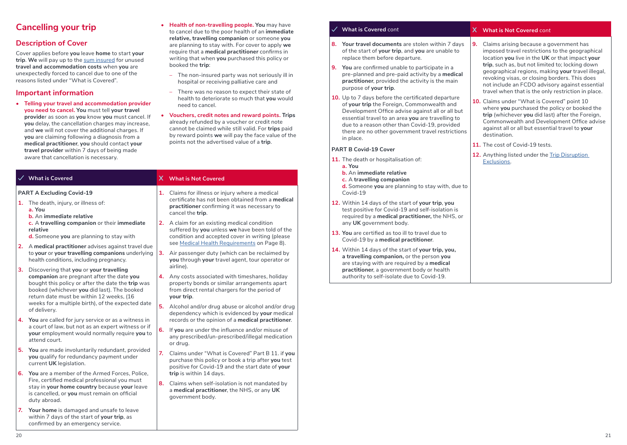### **Cancelling your trip**

### **Description of Cover**

Cover applies before **you** leave **home** to start **your trip**. **We** will pay up to the sum insured for unused **travel and accommodation costs** when **you** are unexpectedly forced to cancel due to one of the reasons listed under "What is Covered".

#### **Important information**

**• Telling your travel and accommodation provider you need to cancel. You** must tell **your travel provide**r as soon as **you** know **you** must cancel. If **you** delay, the cancellation charges may increase, and **we** will not cover the additional charges. If **you** are claiming following a diagnosis from a **medical practitioner**, **you** should contact **your travel provider** within 7 days of being made aware that cancellation is necessary.

### **PART A Excluding Covid-19 1.** The death, injury, or illness of: **a. You b.** An **immediate relative**

- **c.** A **travelling companion** or their **immediate relative**
- **d.** Someone **you** are planning to stay with
- **2.** A **medical practitioner** advises against travel due health conditions, including pregnancy.
- **3.** Discovering that **you** or **your travelling companion** are pregnant after the date **you** bought this policy or after the date the **trip** was booked (whichever **you** did last). The booked return date must be within 12 weeks, (16 weeks for a multiple birth), of the expected date of delivery.
- **4. You** are called for jury service or as a witness in a court of law, but not as an expert witness or if **your** employment would normally require **you** to attend court.
- **5. You** are made involuntarily redundant, provided **you** qualify for redundancy payment under current **UK** legislation.
- **6. You** are a member of the Armed Forces, Police, Fire, certified medical professional you must stay in **your home country** because **your** leave is cancelled, or **you** must remain on official duty abroad.
- **7. Your home** is damaged and unsafe to leave within 7 days of the start of **your trip**, as confirmed by an emergency service.
- **• Health of non-travelling people. You** may have to cancel due to the poor health of an **immediate relative, travelling companion** or someone **you** are planning to stay with. For cover to apply **we** require that a **medical practitioner** confirms in writing that when **you** purchased this policy or booked the **trip**:
	- The non-insured party was not seriously ill in hospital or receiving palliative care and
	- There was no reason to expect their state of health to deteriorate so much that **you** would need to cancel.
- **• Vouchers, credit notes and reward points. Trips** already refunded by a voucher or credit note cannot be claimed while still valid. For **trips** paid by reward points **we** will pay the face value of the points not the advertised value of a **trip**.

#### **What is Covered X What is Not Covered**

- **1.** Claims for illness or injury where a medical certificate has not been obtained from a **medical practitioner** confirming it was necessary to cancel the **trip**.
- **2.** A claim for an existing medical condition suffered by **you** unless **we** have been told of the condition and accepted cover in writing (please see Medical Health Requirements on Page 8).
- to **your** or **your travelling companions** underlying **3.** Air passenger duty (which can be reclaimed by **you** through **your** travel agent, tour operator or airline).
	- **4.** Any costs associated with timeshares, holiday property bonds or similar arrangements apart from direct rental chargers for the period of **your trip**.
	- **5.** Alcohol and/or drug abuse or alcohol and/or drug dependency which is evidenced by **your** medical records or the opinion of a **medical practitioner**.
	- **6.** If **you** are under the influence and/or misuse of any prescribed/un-prescribed/illegal medication or drug.
	- **7.** Claims under "What is Covered" Part B 11. if **you** purchase this policy or book a trip after **you** test positive for Covid-19 and the start date of **your trip** is within 14 days.
	- **8.** Claims when self-isolation is not mandated by a **medical practitioner**, the NHS, or any **UK** government body.

- **8. Your travel documents** are stolen within 7 days of the start of **your trip**, and **you** are unable to replace them before departure.
- **9. You** are confirmed unable to participate in a pre-planned and pre-paid activity by a **medical practitioner**, provided the activity is the main purpose of **your trip**.
- **10.** Up to 7 days before the certificated departure of **your trip** the Foreign, Commonwealth and Development Office advise against all or all but essential travel to an area **you** are travelling to due to a reason other than Covid-19, provided there are no other government travel restrictions in place.

#### **PART B Covid-19 Cover**

- **11.** The death or hospitalisation of:
	- **a. You**
	- **b.** An **immediate relative**
	- **c.** A **travelling companion**
	- **d.** Someone **you** are planning to stay with, due to Covid-19
- **12.** Within 14 days of the start of **your trip**, **you** test positive for Covid-19 and self-isolation is required by a **medical practitioner,** the NHS, or any **UK** government body.
- **13. You** are certified as too ill to travel due to Covid-19 by a **medical practitioner**.
- **14.** Within 14 days of the start of **your trip, you, a travelling companion,** or the person **you** are staying with are required by a **medical practitioner**, a government body or health authority to self-isolate due to Covid-19.

#### **What is Covered** *cont* **X What is Not Covered** *cont*

- **9.** Claims arising because a government has imposed travel restrictions to the geographical location **you** live in the **UK** or that impact **your trip**, such as, but not limited to; locking down geographical regions, making **your** travel illegal, revoking visas, or closing borders. This does not include an FCDO advisory against essential travel when that is the only restriction in place.
- **10.** Claims under "What is Covered" point 10 where **you** purchased the policy or booked the **trip** (whichever **you** did last) after the Foreign, Commonwealth and Development Office advise against all or all but essential travel to **your** destination.
- **11.** The cost of Covid-19 tests.
- 12. Anything listed under the **Trip Disruption** Exclusions.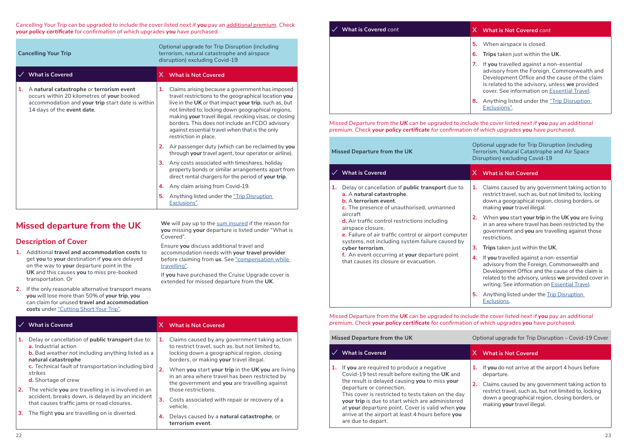*Cancelling Your Trip can be upgraded to include the cover listed next if you pay an additional premium. Check your policy certificate for confirmation of which upgrades you have purchased.*

|    | Optional upgrade for Trip Disruption (including<br>terrorism, natural catastrophe and airspace<br><b>Cancelling Your Trip</b><br>disruption) excluding Covid-19          |    |                                                                                                                                                                                                                                                                                                                                                                                                                |
|----|--------------------------------------------------------------------------------------------------------------------------------------------------------------------------|----|----------------------------------------------------------------------------------------------------------------------------------------------------------------------------------------------------------------------------------------------------------------------------------------------------------------------------------------------------------------------------------------------------------------|
|    | <b>What is Covered</b>                                                                                                                                                   | X. | <b>What is Not Covered</b>                                                                                                                                                                                                                                                                                                                                                                                     |
| 1. | A natural catastrophe or terrorism event<br>occurs within 20 kilometres of your booked<br>accommodation and your trip start date is within<br>14 days of the event date. | 1. | Claims arising because a government has imposed<br>travel restrictions to the geographical location you<br>live in the UK or that impact your trip, such as, but<br>not limited to; locking down geographical regions,<br>making your travel illegal, revoking visas, or closing<br>borders. This does not include an FCDO advisory<br>against essential travel when that is the only<br>restriction in place. |
|    |                                                                                                                                                                          | 2. | Air passenger duty (which can be reclaimed by you<br>through your travel agent, tour operator or airline).                                                                                                                                                                                                                                                                                                     |
|    |                                                                                                                                                                          | 3. | Any costs associated with timeshares, holiday<br>property bonds or similar arrangements apart from<br>direct rental chargers for the period of your trip.                                                                                                                                                                                                                                                      |
|    |                                                                                                                                                                          | 4. | Any claim arising from Covid-19.                                                                                                                                                                                                                                                                                                                                                                               |
|    |                                                                                                                                                                          | 5. | Anything listed under the "Trip Disruption<br>Exclusions".                                                                                                                                                                                                                                                                                                                                                     |

### **Missed departure from the UK**

### **Description of Cover**

- **1.** Additional **travel and accommodation costs** to get **you** to **your** destination if **you** are delayed on the way to **your** departure point in the **UK** and this causes **you** to miss pre-booked transportation. Or
- **2.** If the only reasonable alternative transport means **you** will lose more than 50% of **your trip**, **you** can claim for unused **travel and accommodation costs** under "Cutting Short Your Trip".

**We** will pay up to the sum insured if the reason for **you** missing **your** departure is listed under "What is Covered".

Ensure **you** discuss additional travel and accommodation needs with **your travel provider** before claiming from **us**. See "compensation while travelling".

If **you** have purchased the Cruise Upgrade cover is extended for missed departure from the **UK**.

| $\frac{1}{2}$ |                                                                                                         |    |                                                                                                                                                      |  |  |
|---------------|---------------------------------------------------------------------------------------------------------|----|------------------------------------------------------------------------------------------------------------------------------------------------------|--|--|
|               | <b>What is Covered</b>                                                                                  |    | X What is Not Covered                                                                                                                                |  |  |
|               | Delay or cancellation of public transport due to:                                                       | 1. | Claims caused by any government taking action                                                                                                        |  |  |
|               | a. Industrial action<br><b>b.</b> Bad weather not including anything listed as a<br>natural catastrophe |    | to restrict travel, such as, but not limited to,<br>locking down a geographical region, closing<br>borders, or making your travel illegal.           |  |  |
|               | c. Technical fault of transportation including bird<br>strikes<br><b>d.</b> Shortage of crew            |    | When you start your trip in the UK you are living<br>in an area where travel has been restricted by<br>the government and you are travelling against |  |  |
| 2.            | The vehicle you are travelling in is involved in an                                                     |    | those restrictions.                                                                                                                                  |  |  |
|               | accident, breaks down, is delayed by an incident<br>that causes traffic jams or road closures.          | з. | Costs associated with repair or recovery of a<br>vehicle.                                                                                            |  |  |
| з.            | The flight you are travelling on is diverted.                                                           | 4. | Delays caused by a natural catastrophe, or<br>terrorism event.                                                                                       |  |  |

| <b>What is Covered</b> cont |          | <b>What is Not Covered cont</b>                                                                                                                                                                                                           |
|-----------------------------|----------|-------------------------------------------------------------------------------------------------------------------------------------------------------------------------------------------------------------------------------------------|
|                             | 5.<br>6. | When airspace is closed.<br><b>Trips</b> taken just within the UK.                                                                                                                                                                        |
|                             | 7.       | If you travelled against a non-essential<br>advisory from the Foreign, Commonwealth and<br>Development Office and the cause of the claim<br>is related to the advisory, unless we provided<br>cover. See information on Essential Travel. |
|                             | 8.       | Anything listed under the "Trip Disruption<br>Exclusions".                                                                                                                                                                                |

*Missed Departure from the UK can be upgraded to include the cover listed next if you pay an additional premium. Check your policy certificate for confirmation of which upgrades you have purchased.*

| Missed Departure from the UK |                                                                                                                                                                                                                                                                                                                                                                                                                                                                                | Optional upgrade for Trip Disruption (including<br>Terrorism, Natural Catastrophe and Air Space<br>Disruption) excluding Covid-19 |                                                                                                                                                                                                                                                              |  |
|------------------------------|--------------------------------------------------------------------------------------------------------------------------------------------------------------------------------------------------------------------------------------------------------------------------------------------------------------------------------------------------------------------------------------------------------------------------------------------------------------------------------|-----------------------------------------------------------------------------------------------------------------------------------|--------------------------------------------------------------------------------------------------------------------------------------------------------------------------------------------------------------------------------------------------------------|--|
|                              | $\checkmark$ What is Covered                                                                                                                                                                                                                                                                                                                                                                                                                                                   |                                                                                                                                   | X What is Not Covered                                                                                                                                                                                                                                        |  |
| 1.                           | Delay or cancellation of <b>public transport</b> due to<br>a. A natural catastrophe.<br><b>b.</b> A terrorism event.<br>c. The presence of unauthorised, unmanned<br>aircraft<br>d. Air traffic control restrictions including<br>airspace closure.<br>e. Failure of air traffic control or airport computer<br>systems, not including system failure caused by<br>cyber terrorism.<br>f. An event occurring at your departure point<br>that causes its closure or evacuation. | 1.                                                                                                                                | Claims caused by any government taking action to<br>restrict travel, such as, but not limited to, locking<br>down a geographical region, closing borders, or<br>making your travel illegal.                                                                  |  |
|                              |                                                                                                                                                                                                                                                                                                                                                                                                                                                                                | 2.                                                                                                                                | When you start your trip in the UK you are living<br>in an area where travel has been restricted by the<br>government and you are travelling against those<br>restrictions.                                                                                  |  |
|                              |                                                                                                                                                                                                                                                                                                                                                                                                                                                                                | 3.                                                                                                                                | Trips taken just within the UK.                                                                                                                                                                                                                              |  |
|                              |                                                                                                                                                                                                                                                                                                                                                                                                                                                                                | 4.                                                                                                                                | If you travelled against a non-essential<br>advisory from the Foreign, Commonwealth and<br>Development Office and the cause of the claim is<br>related to the advisory, unless we provided cover in<br>writing. See information on <b>Essential Travel</b> . |  |
|                              |                                                                                                                                                                                                                                                                                                                                                                                                                                                                                | 5.                                                                                                                                | Anything listed under the Trip Disruption<br>Exclusions.                                                                                                                                                                                                     |  |

*Missed Departure from the UK can be upgraded to include the cover listed next if you pay an additional premium. Check your policy certificate for confirmation of which upgrades you have purchased.*

| Missed Departure from the UK |                                                                                                                                                                                                                                                                                                                                                                                                                    | Optional upgrade for Trip Disruption – Covid-19 Cover |                                                                                                                                                                                                                                                                 |  |
|------------------------------|--------------------------------------------------------------------------------------------------------------------------------------------------------------------------------------------------------------------------------------------------------------------------------------------------------------------------------------------------------------------------------------------------------------------|-------------------------------------------------------|-----------------------------------------------------------------------------------------------------------------------------------------------------------------------------------------------------------------------------------------------------------------|--|
|                              | <b>What is Covered</b>                                                                                                                                                                                                                                                                                                                                                                                             |                                                       | X What is Not Covered                                                                                                                                                                                                                                           |  |
| 1.                           | If you are required to produce a negative<br>Covid-19 test result before exiting the UK and<br>the result is delayed causing you to miss your<br>departure or connection.<br>This cover is restricted to tests taken on the day<br>your trip is due to start which are administered<br>at your departure point. Cover is valid when you<br>arrive at the airport at least 4 hours before you<br>are due to depart. |                                                       | If you do not arrive at the airport 4 hours before<br>departure.<br>Claims caused by any government taking action to<br>restrict travel, such as, but not limited to, locking<br>down a geographical region, closing borders, or<br>making your travel illegal. |  |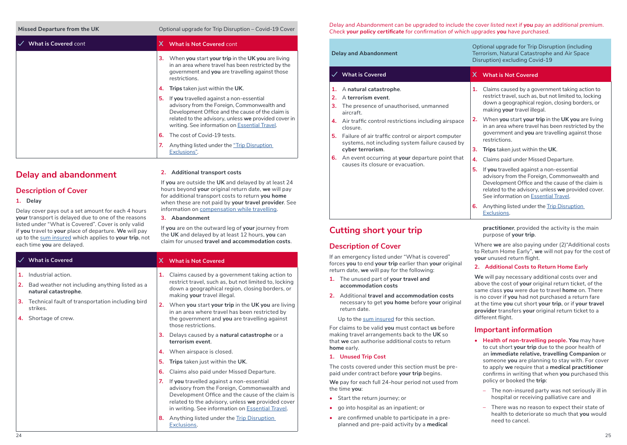**K** Covid-19 Coptional upgrade for Trip Disruption – Covid-19 Cover

| <b>What is Covered</b> cont |    | X What is Not Covered cont                                                                                                                                                                                                                           |
|-----------------------------|----|------------------------------------------------------------------------------------------------------------------------------------------------------------------------------------------------------------------------------------------------------|
|                             | з. | When you start your trip in the UK you are living<br>in an area where travel has been restricted by the<br>government and you are travelling against those<br>restrictions.                                                                          |
|                             |    | <b>Trips</b> taken just within the UK.                                                                                                                                                                                                               |
|                             |    | If you travelled against a non-essential<br>advisory from the Foreign, Commonwealth and<br>Development Office and the cause of the claim is<br>related to the advisory, unless we provided cover in<br>writing. See information on Essential Travel. |
|                             | 6. | The cost of Covid-19 tests.                                                                                                                                                                                                                          |
|                             |    | Anything listed under the "Trip Disruption"<br>Exclusions".                                                                                                                                                                                          |

### **Delay and abandonment**

#### **Description of Cover**

**1.** Industrial action.

strikes. **4.** Shortage of crew.

**natural catastrophe**.

#### **1. Delay**

Delay cover pays out a set amount for each 4 hours **your** transport is delayed due to one of the reasons listed under "What is Covered". Cover is only valid if **you** travel to **your** place of departure. **We** will pay up to the sum insured which applies to **your trip**, not each time **you** are delayed.

**2.** Bad weather not including anything listed as a

**3.** Technical fault of transportation including bird

|  | 2. Additional transport costs |  |  |
|--|-------------------------------|--|--|
|--|-------------------------------|--|--|

If **you** are outside the **UK** and delayed by at least 24 hours beyond **your** original return date, **we** will pay for additional transport costs to return **you home**  when these are not paid by **your travel provider**. See information on compensation while travelling.

#### **3. Abandonment**

If **you** are on the outward leg of **your** journey from the **UK** and delayed by at least 12 hours, **you** can claim for unused **travel and accommodation costs**.

#### **What is Covered X What is Not Covered**

- **1.** Claims caused by a government taking action to restrict travel, such as, but not limited to, locking down a geographical region, closing borders, or making **your** travel illegal.
- **2.** When **you** start **your trip** in the **UK you** are living in an area where travel has been restricted by the government and **you** are travelling against those restrictions.
- **3.** Delays caused by a **natural catastrophe** or a **terrorism event**.
- **4.** When airspace is closed.
- **5. Trips** taken just within the **UK**.
- **6.** Claims also paid under Missed Departure.
- **7.** If **you** travelled against a non-essential advisory from the Foreign, Commonwealth and Development Office and the cause of the claim is related to the advisory, unless **we** provided cover in writing. See information on Essential Travel.
- **8.** Anything listed under the Trip Disruption Exclusions.

*Delay and Abandonment can be upgraded to include the cover listed next if you pay an additional premium. Check your policy certificate for confirmation of which upgrades you have purchased.*

| <b>Delay and Abandonment</b> |                                                                                                                                                                          | Optional upgrade for Trip Disruption (including<br>Terrorism, Natural Catastrophe and Air Space<br>Disruption) excluding Covid-19 |                                                                                                                                                                                                                                           |
|------------------------------|--------------------------------------------------------------------------------------------------------------------------------------------------------------------------|-----------------------------------------------------------------------------------------------------------------------------------|-------------------------------------------------------------------------------------------------------------------------------------------------------------------------------------------------------------------------------------------|
|                              | $\checkmark$ What is Covered                                                                                                                                             | X.                                                                                                                                | <b>What is Not Covered</b>                                                                                                                                                                                                                |
| 1.<br>2.<br>3.               | A natural catastrophe.<br>A terrorism event.<br>The presence of unauthorised, unmanned<br>aircraft.                                                                      | 1.                                                                                                                                | Claims caused by a government taking action to<br>restrict travel, such as, but not limited to, locking<br>down a geographical region, closing borders, or<br>making your travel illegal.                                                 |
| 4.<br>5.                     | Air traffic control restrictions including airspace<br>closure.<br>Failure of air traffic control or airport computer<br>systems, not including system failure caused by | 2.                                                                                                                                | When you start your trip in the UK you are living<br>in an area where travel has been restricted by the<br>government and you are travelling against those<br>restrictions.                                                               |
|                              | cyber terrorism.                                                                                                                                                         | 3.                                                                                                                                | Trips taken just within the UK.                                                                                                                                                                                                           |
| 6.                           | An event occurring at your departure point that<br>causes its closure or evacuation.                                                                                     | 4.                                                                                                                                | Claims paid under Missed Departure.                                                                                                                                                                                                       |
|                              |                                                                                                                                                                          | 5.                                                                                                                                | If you travelled against a non-essential<br>advisory from the Foreign, Commonwealth and<br>Development Office and the cause of the claim is<br>related to the advisory, unless we provided cover.<br>See information on Essential Travel. |
|                              |                                                                                                                                                                          | 6.                                                                                                                                | Anything listed under the Trip Disruption<br>Exclusions.                                                                                                                                                                                  |

**Cutting short your trip**

If an emergency listed under "What is covered" forces **you** to end **your trip** earlier than **your** original

**2.** Additional **travel and accommodation costs** necessary to get **you home** before **your** original

The costs covered under this section must be prepaid under contract before **your trip** begins. **We** pay for each full 24-hour period not used from

**•** are confirmed unable to participate in a preplanned and pre-paid activity by a **medical** 

Up to the sum insured for this section. For claims to be valid **you** must contact **us** before making travel arrangements back to the **UK** so that **we** can authorise additional costs to return

return date, **we** will pay for the following: **1.** The unused part of **your travel and accommodation costs**

**Description of Cover**

return date.

**1. Unused Trip Cost**

**•** Start the return journey; or **•** go into hospital as an inpatient; or

**home** early.

the time **you**:

**practitioner**, provided the activity is the main purpose of **your trip**.

Where **we** are also paying under (2)"Additional costs to Return Home Early", **we** will not pay for the cost of **your** unused return flight.

#### **2. Additional Costs to Return Home Early**

**We** will pay necessary additional costs over and above the cost of **your** original return ticket, of the same class **you** were due to travel **home** on. There is no cover if **you** had not purchased a return fare at the time **you** cut short **your trip**, or if **your travel provider** transfers **your** original return ticket to a different flight.

### **Important information**

- **• Health of non-travelling people. You** may have to cut short **your trip** due to the poor health of an **immediate relative, travelling Companion** or someone **you** are planning to stay with. For cover to apply **we** require that a **medical practitioner** confirms in writing that when **you** purchased this policy or booked the **trip**:
	- The non-insured party was not seriously ill in hospital or receiving palliative care and
- There was no reason to expect their state of health to deteriorate so much that **you** would need to cancel.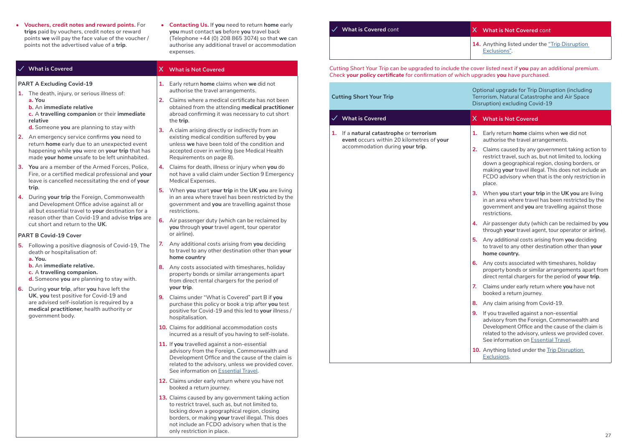- **• Vouchers, credit notes and reward points.** For **trips** paid by vouchers, credit notes or reward points **we** will pay the face value of the voucher / points not the advertised value of a **trip**.
- **• Contacting Us.** If **you** need to return **home** early **you** must contact **us** before **you** travel back (Telephone +44 (0) 208 865 3074) so that **we** can authorise any additional travel or accommodation expenses.

|                                                                                                                                                                                                                                                                                                                                   | $\checkmark$ What is Covered                                                                                                                                                                      |                                                                                                                                                                             | X What is Not Covered                                                                                                                                                                                                      |
|-----------------------------------------------------------------------------------------------------------------------------------------------------------------------------------------------------------------------------------------------------------------------------------------------------------------------------------|---------------------------------------------------------------------------------------------------------------------------------------------------------------------------------------------------|-----------------------------------------------------------------------------------------------------------------------------------------------------------------------------|----------------------------------------------------------------------------------------------------------------------------------------------------------------------------------------------------------------------------|
|                                                                                                                                                                                                                                                                                                                                   | <b>PART A Excluding Covid-19</b>                                                                                                                                                                  | 1.                                                                                                                                                                          | Early return home claims when we did not<br>authorise the travel arrangements.                                                                                                                                             |
|                                                                                                                                                                                                                                                                                                                                   | 1. The death, injury, or serious illness of:<br>a. You<br><b>b.</b> An immediate relative<br>c. A travelling companion or their immediate<br>relative<br>d. Someone you are planning to stay with | 2.                                                                                                                                                                          | Claims where a medical certificate has not been<br>obtained from the attending medical practitioner<br>abroad confirming it was necessary to cut short<br>the trip.                                                        |
|                                                                                                                                                                                                                                                                                                                                   | 2. An emergency service confirms you need to<br>return home early due to an unexpected event<br>happening while you were on your trip that has<br>made your home unsafe to be left uninhabited.   | 3.                                                                                                                                                                          | A claim arising directly or indirectly from an<br>existing medical condition suffered by you<br>unless we have been told of the condition and<br>accepted cover in writing (see Medical Health<br>Requirements on page 8). |
|                                                                                                                                                                                                                                                                                                                                   | 3. You are a member of the Armed Forces, Police,<br>Fire, or a certified medical professional and your<br>leave is cancelled necessitating the end of your                                        | 4.                                                                                                                                                                          | Claims for death, illness or injury when you do<br>not have a valid claim under Section 9 Emergency<br>Medical Expenses.                                                                                                   |
| trip.<br>4. During your trip the Foreign, Commonwealth<br>and Development Office advise against all or<br>all but essential travel to your destination for a                                                                                                                                                                      | 5.                                                                                                                                                                                                | When you start your trip in the UK you are living<br>in an area where travel has been restricted by the<br>government and you are travelling against those<br>restrictions. |                                                                                                                                                                                                                            |
|                                                                                                                                                                                                                                                                                                                                   | reason other than Covid-19 and advise trips are<br>cut short and return to the UK.                                                                                                                | 6.                                                                                                                                                                          | Air passenger duty (which can be reclaimed by<br>you through your travel agent, tour operator                                                                                                                              |
|                                                                                                                                                                                                                                                                                                                                   | <b>PART B Covid-19 Cover</b><br>5. Following a positive diagnosis of Covid-19, The<br>death or hospitalisation of:<br>a. You.                                                                     | 7.                                                                                                                                                                          | or airline).<br>Any additional costs arising from you deciding<br>to travel to any other destination other than your<br>home country                                                                                       |
| <b>b.</b> An immediate relative.<br>8.<br>c. A travelling companion.<br>d. Someone you are planning to stay with.<br>6. During your trip, after you have left the<br>UK, you test positive for Covid-19 and<br>9.<br>are advised self-isolation is required by a<br>medical practitioner, health authority or<br>government body. | Any costs associated with timeshares, holiday<br>property bonds or similar arrangements apart<br>from direct rental chargers for the period of<br>your trip.                                      |                                                                                                                                                                             |                                                                                                                                                                                                                            |
|                                                                                                                                                                                                                                                                                                                                   |                                                                                                                                                                                                   |                                                                                                                                                                             | Claims under "What is Covered" part B if you<br>purchase this policy or book a trip after you test<br>positive for Covid-19 and this led to your illness /<br>hospitalisation.                                             |
|                                                                                                                                                                                                                                                                                                                                   |                                                                                                                                                                                                   |                                                                                                                                                                             | 10. Claims for additional accommodation costs<br>incurred as a result of you having to self-isolate.                                                                                                                       |
|                                                                                                                                                                                                                                                                                                                                   |                                                                                                                                                                                                   |                                                                                                                                                                             | 11. If you travelled against a non-essential<br>advisory from the Foreign, Commonwealth and<br>Development Office and the cause of the claim is<br>related to the advisory, unless we provided cover.                      |

See information on Essential Travel. **12.** Claims under early return where you have not booked a return journey.

 $\frac{1}{2}$ **13.** Claims caused by any government taking action to restrict travel, such as, but not limited to, locking down a geographical region, closing borders, or making **your** travel illegal. This does not include an FCDO advisory when that is the only restriction in place.

| $\checkmark$ What is Covered cont | X What is Not Covered cont                                     |
|-----------------------------------|----------------------------------------------------------------|
|                                   | 14. Anything listed under the "Trip Disruption<br>Exclusions". |

*Cutting Short Your Trip can be upgraded to include the cover listed next if you pay an additional premium. Check your policy certificate for confirmation of which upgrades you have purchased.*

| <b>Cutting Short Your Trip</b>                                                                                           | Optional upgrade for Trip Disruption (including<br>Terrorism, Natural Catastrophe and Air Space<br>Disruption) excluding Covid-19                                                                                                                                                                                                                                                                                                                                                                                                                                                                                                                                                                                                                                                                                                                                                                                                                                                                                                                                                                                                                                                                                                                                                                                                                                                                                 |  |  |
|--------------------------------------------------------------------------------------------------------------------------|-------------------------------------------------------------------------------------------------------------------------------------------------------------------------------------------------------------------------------------------------------------------------------------------------------------------------------------------------------------------------------------------------------------------------------------------------------------------------------------------------------------------------------------------------------------------------------------------------------------------------------------------------------------------------------------------------------------------------------------------------------------------------------------------------------------------------------------------------------------------------------------------------------------------------------------------------------------------------------------------------------------------------------------------------------------------------------------------------------------------------------------------------------------------------------------------------------------------------------------------------------------------------------------------------------------------------------------------------------------------------------------------------------------------|--|--|
| <b>What is Covered</b>                                                                                                   | X What is Not Covered                                                                                                                                                                                                                                                                                                                                                                                                                                                                                                                                                                                                                                                                                                                                                                                                                                                                                                                                                                                                                                                                                                                                                                                                                                                                                                                                                                                             |  |  |
| 1. If a natural catastrophe or terrorism<br>event occurs within 20 kilometres of your<br>accommodation during your trip. | 1. Early return home claims when we did not<br>authorise the travel arrangements.<br>2. Claims caused by any government taking action to<br>restrict travel, such as, but not limited to, locking<br>down a geographical region, closing borders, or<br>making your travel illegal. This does not include an<br>FCDO advisory when that is the only restriction in<br>place.<br>3. When you start your trip in the UK you are living<br>in an area where travel has been restricted by the<br>government and you are travelling against those<br>restrictions.<br>4. Air passenger duty (which can be reclaimed by you<br>through your travel agent, tour operator or airline).<br>5. Any additional costs arising from you deciding<br>to travel to any other destination other than your<br>home country.<br>6. Any costs associated with timeshares, holiday<br>property bonds or similar arrangements apart from<br>direct rental chargers for the period of your trip.<br>7. Claims under early return where you have not<br>booked a return journey.<br>8. Any claim arising from Covid-19.<br>9. If you travelled against a non-essential<br>advisory from the Foreign, Commonwealth and<br>Development Office and the cause of the claim is<br>related to the advisory, unless we provided cover.<br>See information on Essential Travel.<br>10. Anything listed under the Trip Disruption<br>Exclusions. |  |  |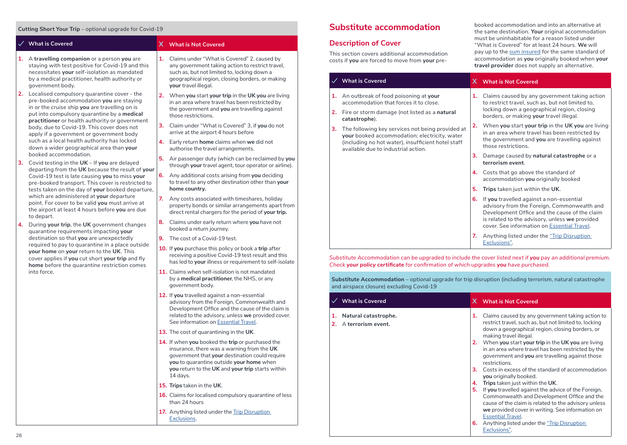#### **Cutting Short Your Trip** – optional upgrade for Covid-19

- **1.** A **travelling companion** or a person **you** are staying with test positive for Covid-19 and this necessitates **your** self-isolation as mandated by a medical practitioner, health authority or government body.
- **2.** Localised compulsory quarantine cover the pre-booked accommodation **you** are staying in or the cruise ship **you** are travelling on is put into compulsory quarantine by a **medical practitioner** or health authority or government body, due to Covid-19. This cover does not apply if a government or government body such as a local health authority has locked down a wider geographical area than **your** booked accommodation.
- **3.** Covid testing in the **UK** If **you** are delayed departing from the **UK** because the result of **your** Covid-19 test is late causing **you** to miss **your** pre-booked transport. This cover is restricted to tests taken on the day of **your** booked departure, which are administered at **your** departure point. For cover to be valid **you** must arrive at the airport at least 4 hours before **you** are due to depart.
- **4.** During **your trip**, the **UK** government changes quarantine requirements impacting **your** destination so that **you** are unexpectedly required to pay to quarantine in a place outside **your home** on **your** return to the **UK**. This cover applies if **you** cut short **your trip** and fly **home** before the quarantine restriction comes into force.

#### **What is Covered X What is Not Covered**

- **1.** Claims under "What is Covered" 2. caused by any government taking action to restrict travel, such as, but not limited to, locking down a geographical region, closing borders, or making **your** travel illegal.
- **2.** When **you** start **your trip** in the **UK you** are living in an area where travel has been restricted by the government and **you** are travelling against those restrictions.
- **3.** Claim under "What is Covered" 3, if **you** do not arrive at the airport 4 hours before
- **4.** Early return **home** claims when **we** did not authorise the travel arrangements.
- **5.** Air passenger duty (which can be reclaimed by **you** through **your** travel agent, tour operator or airline).
- **6.** Any additional costs arising from **you** deciding to travel to any other destination other than **your home country.**
- **7.** Any costs associated with timeshares, holiday property bonds or similar arrangements apart from direct rental chargers for the period of **your trip.**
- **8.** Claims under early return where **you** have not booked a return journey.
- **9.** The cost of a Covid-19 test.
- **10.** If **you** purchase this policy or book a **trip** after receiving a positive Covid-19 test result and this has led to **your** illness or requirement to self-isolate
- **11.** Claims when self-isolation is not mandated by a **medical practitioner**, the NHS, or any government body.
- **12.** If **you** travelled against a non-essential advisory from the Foreign, Commonwealth and Development Office and the cause of the claim is related to the advisory, unless **we** provided cover. See information on Essential Travel.
- **13.** The cost of quarantining in the **UK**.
- **14.** If when **you** booked the **trip** or purchased the insurance, there was a warning from the **UK** government that **your** destination could require **you** to quarantine outside **your home** when **you** return to the **UK** and **your trip** starts within 14 days.
- **15. Trips** taken in the **UK**.
- **16.** Claims for localised compulsory quarantine of less than 24 hours
- 17. Anything listed under the **Trip Disruption** Exclusions.

### **Substitute accommodation**

#### **Description of Cover**

This section covers additional accommodation costs if **you** are forced to move from **your** prebooked accommodation and into an alternative at the same destination. **Your** original accommodation must be uninhabitable for a reason listed under "What is Covered" for at least 24 hours. **We** will pay up to the sum insured for the same standard of accommodation as **you** originally booked when **your travel provider** does not supply an alternative.

cover. See information on Essential Travel. **7.** Anything listed under the "Trip Disruption

#### **What is Covered X What is Not Covered**

- **1.** An outbreak of food poisoning at **your** accommodation that forces it to close. **2.** Fire or storm damage (not listed as a **natural catastrophe**). **3.** The following key services not being provided at **your** booked accommodation; electricity, water (including no hot water), insufficient hotel staff available due to industrial action. **1.** Claims caused by any government taking action to restrict travel, such as, but not limited to, locking down a geographical region, closing borders, or making **your** travel illegal. **2.** When **you** start **your trip** in the **UK you** are living in an area where travel has been restricted by the government and **you** are travelling against those restrictions. **3.** Damage caused by **natural catastrophe** or a **terrorism event**. **4.** Costs that go above the standard of accommodation **you** originally booked **5. Trips** taken just within the **UK**. **6.** If **you** travelled against a non-essential advisory from the Foreign, Commonwealth and Development Office and the cause of the claim is related to the advisory, unless **we** provided
- *Substitute Accommodation can be upgraded to include the cover listed next if you pay an additional premium. Check your policy certificate for confirmation of which upgrades you have purchased.*

Exclusions".

**Substitute Accommodation** – optional upgrade for trip disruption (including terrorism, natural catastrophe and airspace closure) excluding Covid-19

| <b>What is Covered</b>                        |    | X What is Not Covered                                                                                                                                                                                                                      |
|-----------------------------------------------|----|--------------------------------------------------------------------------------------------------------------------------------------------------------------------------------------------------------------------------------------------|
| 1. Natural catastrophe.<br>A terrorism event. | 1. | Claims caused by any government taking action to<br>restrict travel, such as, but not limited to, locking<br>down a geographical region, closing borders, or<br>making travel illegal.                                                     |
|                                               | 2. | When you start your trip in the UK you are living<br>in an area where travel has been restricted by the<br>government and you are travelling against those<br>restrictions.                                                                |
|                                               | 3. | Costs in excess of the standard of accommodation<br>you originally booked.                                                                                                                                                                 |
|                                               | 4. | Trips taken just within the UK.                                                                                                                                                                                                            |
|                                               | 5. | If you travelled against the advice of the Foreign,<br>Commonwealth and Development Office and the<br>cause of the claim is related to the advisory unless<br>we provided cover in writing. See information on<br><b>Essential Travel.</b> |
|                                               | 6. | Anything listed under the "Trip Disruption"<br>Exclusions".                                                                                                                                                                                |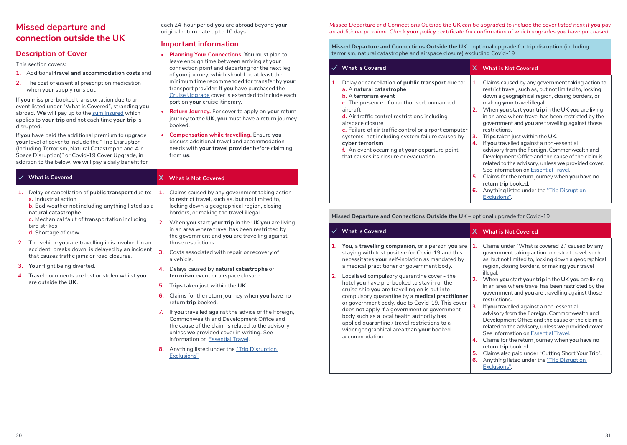### **Missed departure and connection outside the UK**

### **Description of Cover**

This section covers:

- **1.** Additional **travel and accommodation costs** and
- **2.** The cost of essential prescription medication when **your** supply runs out.

If **you** miss pre-booked transportation due to an event listed under "What is Covered", stranding **you** abroad. **We** will pay up to the sum insured which applies to **your trip** and not each time **your trip** is disrupted.

If **you** have paid the additional premium to upgrade **your** level of cover to include the "Trip Disruption (Including Terrorism, Natural Catastrophe and Air Space Disruption)" or Covid-19 Cover Upgrade, in addition to the below, **we** will pay a daily benefit for

 **What is Covered X What is Not Covered 1.** Delay or cancellation of **public transport** due to: **a.** Industrial action **b.** Bad weather not including anything listed as a **natural catastrophe c.** Mechanical fault of transportation including bird strikes **d.** Shortage of crew **2.** The vehicle **you** are travelling in is involved in an accident, breaks down, is delayed by an incident that causes traffic jams or road closures. **3. Your** flight being diverted. **4.** Travel documents are lost or stolen whilst **you** are outside the **UK**. **1.** Claims caused by any government taking action to restrict travel, such as, but not limited to, locking down a geographical region, closing borders, or making the travel illegal. **2.** When **you** start **your trip** in the **UK you** are living in an area where travel has been restricted by the government and **you** are travelling against those restrictions. **3.** Costs associated with repair or recovery of a vehicle. **4.** Delays caused by **natural catastrophe** or **terrorism event** or airspace closure. **5. Trips** taken just within the **UK**. **6.** Claims for the return journey when **you** have no return **trip** booked. **7.** If **you** travelled against the advice of the Foreign, Commonwealth and Development Office and the cause of the claim is related to the advisory unless **we** provided cover in writing. See information on Essential Travel.

> **8.** Anything listed under the "Trip Disruption Exclusions".

each 24-hour period **you** are abroad beyond **your**

**• Planning Your Connections. You** must plan to leave enough time between arriving at **your** connection point and departing for the next leg of **your** journey, which should be at least the minimum time recommended for transfer by **your** transport provider. If **you** have purchased the Cruise Upgrade cover is extended to include each

**• Return Journey.** For cover to apply on **your** return journey to the **UK**, **you** must have a return journey

**• Compensation while travelling.** Ensure **you** discuss additional travel and accommodation needs with **your travel provider** before claiming

original return date up to 10 days. **Important information**

port on **your** cruise itinerary.

booked.

from **us**.

*Missed Departure and Connections Outside the* **UK** *can be upgraded to include the cover listed next if you pay an additional premium. Check your policy certificate for confirmation of which upgrades you have purchased.*

**Missed Departure and Connections Outside the UK** – optional upgrade for trip disruption (including terrorism, natural catastrophe and airspace closure) excluding Covid-19

|    | <b>What is Covered</b>                                                                                                                                                                                                                                                                                                                                                                                                                                                     |                                  | X What is Not Covered                                                                                                                                                                                                                                                                                                                                                                                                                                                                                                                                                                                                                                                                                                                                                                                     |
|----|----------------------------------------------------------------------------------------------------------------------------------------------------------------------------------------------------------------------------------------------------------------------------------------------------------------------------------------------------------------------------------------------------------------------------------------------------------------------------|----------------------------------|-----------------------------------------------------------------------------------------------------------------------------------------------------------------------------------------------------------------------------------------------------------------------------------------------------------------------------------------------------------------------------------------------------------------------------------------------------------------------------------------------------------------------------------------------------------------------------------------------------------------------------------------------------------------------------------------------------------------------------------------------------------------------------------------------------------|
| 1. | Delay or cancellation of <b>public transport</b> due to:<br>a. A natural catastrophe<br><b>b.</b> A terrorism event<br>c. The presence of unauthorised, unmanned<br>aircraft<br>d. Air traffic control restrictions including<br>airspace closure<br>e. Failure of air traffic control or airport computer<br>systems, not including system failure caused by<br>cyber terrorism<br>f. An event occurring at your departure point<br>that causes its closure or evacuation | 1.<br>2.<br>3.<br>4.<br>5.<br>6. | Claims caused by any government taking action to<br>restrict travel, such as, but not limited to, locking<br>down a geographical region, closing borders, or<br>making your travel illegal.<br>When you start your trip in the UK you are living<br>in an area where travel has been restricted by the<br>government and you are travelling against those<br>restrictions.<br><b>Trips</b> taken just within the UK.<br>If you travelled against a non-essential<br>advisory from the Foreign, Commonwealth and<br>Development Office and the cause of the claim is<br>related to the advisory, unless we provided cover.<br>See information on Essential Travel.<br>Claims for the return journey when you have no<br>return trip booked.<br>Anything listed under the "Trip Disruption"<br>Exclusions". |

**Missed Departure and Connections Outside the UK** – optional upgrade for Covid-19

| <b>What is Covered</b>                                                                                                                                                                                                                                                                                                                                                                                                                                                                                                                                                                                                                                                          | X What is Not Covered                                                                                                                                                                                                                                                                                                                                                                                                                                                                                                                                                                                                                                                                                                                                                                                                                                                                          |
|---------------------------------------------------------------------------------------------------------------------------------------------------------------------------------------------------------------------------------------------------------------------------------------------------------------------------------------------------------------------------------------------------------------------------------------------------------------------------------------------------------------------------------------------------------------------------------------------------------------------------------------------------------------------------------|------------------------------------------------------------------------------------------------------------------------------------------------------------------------------------------------------------------------------------------------------------------------------------------------------------------------------------------------------------------------------------------------------------------------------------------------------------------------------------------------------------------------------------------------------------------------------------------------------------------------------------------------------------------------------------------------------------------------------------------------------------------------------------------------------------------------------------------------------------------------------------------------|
| 1. You, a travelling companion, or a person you are<br>staying with test positive for Covid-19 and this<br>necessitates your self-isolation as mandated by<br>a medical practitioner or government body.<br>Localised compulsory quarantine cover - the<br>2.<br>hotel you have pre-booked to stay in or the<br>cruise ship you are travelling on is put into<br>compulsory quarantine by a medical practitioner<br>or government body, due to Covid-19. This cover<br>does not apply if a government or government<br>body such as a local health authority has<br>applied quarantine / travel restrictions to a<br>wider geographical area than your booked<br>accommodation. | Claims under "What is covered 2." caused by any<br>1.<br>government taking action to restrict travel, such<br>as, but not limited to, locking down a geographical<br>region, closing borders, or making your travel<br>illegal.<br>2. When you start your trip in the UK you are living<br>in an area where travel has been restricted by the<br>government and you are travelling against those<br>restrictions.<br>3 <sub>1</sub><br>If you travelled against a non-essential<br>advisory from the Foreign, Commonwealth and<br>Development Office and the cause of the claim is<br>related to the advisory, unless we provided cover.<br>See information on Essential Travel.<br>Claims for the return journey when you have no<br>4.<br>return trip booked.<br>Claims also paid under "Cutting Short Your Trip".<br>5.<br>Anything listed under the "Trip Disruption<br>6.<br>Exclusions". |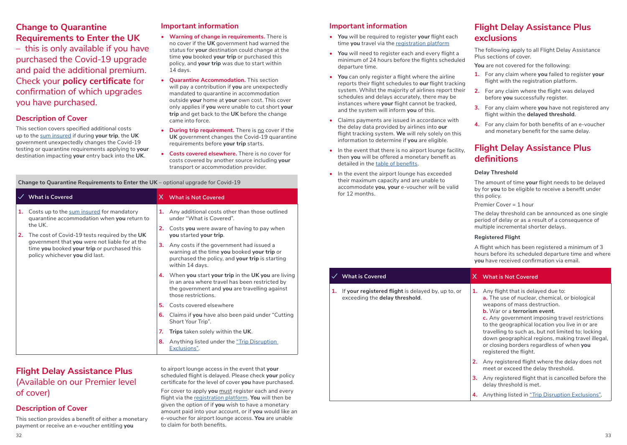### **Change to Quarantine Requirements to Enter the UK**

– this is only available if you have purchased the Covid-19 upgrade and paid the additional premium. Check your **policy certificate** for confirmation of which upgrades you have purchased.

### **Description of Cover**

This section covers specified additional costs up to the sum insured if during **your trip**, the **UK** government unexpectedly changes the Covid-19 testing or quarantine requirements applying to **your** destination impacting **your** entry back into the **UK**.

#### **Important information**

- **• Warning of change in requirements.** There is no cover if the **UK** government had warned the status for **your** destination could change at the time **you** booked **your trip** or purchased this policy, and **your trip** was due to start within 14 days.
- will pay a contribution if **you** are unexpectedly mandated to quarantine in accommodation outside **your** home at **your** own cost. This cover only applies if **you** were unable to cut short **your trip** and get back to the **UK** before the change came into force.
- **• During trip requirement.** There is no cover if the requirements before **your trip** starts.
- **• Costs covered elsewhere.** There is no cover for costs covered by another source including **your** transport or accommodation provider.

to airport lounge access in the event that **your** scheduled flight is delayed. Please check **your** policy certificate for the level of cover **you** have purchased. For cover to apply **you** must register each and every flight via the registration platform. **You** will then be given the option of if **you** wish to have a monetary amount paid into your account, or if **you** would like an e-voucher for airport lounge access. **You** are unable

to claim for both benefits.

#### **Change to Quarantine Requirements to Enter the UK** – optional upgrade for Covid-19

|          | <b>What is Covered</b>                                                                                                                                                                                                                                                                  |                            | X What is Not Covered                                                                                                                                                                                                                                                                                                                                                                                                                                                                                                                                                                                                                                                                               |
|----------|-----------------------------------------------------------------------------------------------------------------------------------------------------------------------------------------------------------------------------------------------------------------------------------------|----------------------------|-----------------------------------------------------------------------------------------------------------------------------------------------------------------------------------------------------------------------------------------------------------------------------------------------------------------------------------------------------------------------------------------------------------------------------------------------------------------------------------------------------------------------------------------------------------------------------------------------------------------------------------------------------------------------------------------------------|
| 1.<br>2. | Costs up to the sum insured for mandatory<br>quarantine accommodation when you return to<br>the UK.<br>The cost of Covid-19 tests required by the UK<br>government that you were not liable for at the<br>time you booked your trip or purchased this<br>policy whichever you did last. | 3.<br>5.<br>6.<br>7.<br>8. | 1. Any additional costs other than those outlined<br>under "What is Covered".<br>2. Costs you were aware of having to pay when<br>you started your trip.<br>Any costs if the government had issued a<br>warning at the time you booked your trip or<br>purchased the policy, and your trip is starting<br>within 14 days.<br>4. When you start your trip in the UK you are living<br>in an area where travel has been restricted by<br>the government and you are travelling against<br>those restrictions.<br>Costs covered elsewhere<br>Claims if you have also been paid under "Cutting"<br>Short Your Trip".<br>Trips taken solely within the UK.<br>Anything listed under the "Trip Disruption |
|          |                                                                                                                                                                                                                                                                                         |                            | Exclusions".                                                                                                                                                                                                                                                                                                                                                                                                                                                                                                                                                                                                                                                                                        |

### **Flight Delay Assistance Plus**  (Available on our Premier level of cover)

### **Description of Cover**

This section provides a benefit of either a monetary payment or receive an e-voucher entitling **you**

- 
- **• Quarantine Accommodation.** This section
- **UK** government changes the Covid-19 quarantine
- 

#### **Important information**

- **• You** will be required to register **your** flight each time **you** travel via the registration platform
- **• You** will need to register each and every flight a minimum of 24 hours before the flights scheduled departure time.
- **• You** can only register a flight where the airline reports their flight schedules to **our** flight tracking system. Whilst the majority of airlines report their schedules and delays accurately, there may be instances where **your** flight cannot be tracked, and the system will inform **you** of this.
- **•** Claims payments are issued in accordance with the delay data provided by airlines into **our** flight tracking system. **We** will rely solely on this information to determine if **you** are eligible.
- **•** In the event that there is no airport lounge facility, then **you** will be offered a monetary benefit as detailed in the table of benefits.
- **•** In the event the airport lounge has exceeded their maximum capacity and are unable to accommodate **you**, **your** e-voucher will be valid for 12 months.

### **Flight Delay Assistance Plus exclusions**

The following apply to all Flight Delay Assistance Plus sections of cover.

**You** are not covered for the following:

- **1.** For any claim where **you** failed to register **your** flight with the registration platform.
- **2.** For any claim where the flight was delayed before **you** successfully register.
- **3.** For any claim where **you** have not registered any flight within the **delayed threshold**.
- **4.** For any claim for both benefits of an e-voucher and monetary benefit for the same delay.

### **Flight Delay Assistance Plus definitions**

#### **Delay Threshold**

The amount of time **your** flight needs to be delayed by for **you** to be eligible to receive a benefit under this policy.

Premier Cover = 1 hour

The delay threshold can be announced as one single period of delay or as a result of a consequence of multiple incremental shorter delays.

#### **Registered Flight**

A flight which has been registered a minimum of 3 hours before its scheduled departure time and where **you** have received confirmation via email.

### **What is Covered X What is Not Covered**

**1.** If **your registered flight** is delayed by, up to, or exceeding the **delay threshold**.

#### **1.** Any flight that is delayed due to: **a.** The use of nuclear, chemical, or biological weapons of mass destruction. **b.** War or a **terrorism event**. **c.** Any government imposing travel restrictions to the geographical location you live in or are travelling to such as, but not limited to; locking down geographical regions, making travel illegal, or closing borders regardless of when **you** registered the flight. **2.** Any registered flight where the delay does not meet or exceed the delay threshold.

- **3.** Any registered flight that is cancelled before the delay threshold is met.
- **4.** Anything listed in "Trip Disruption Exclusions".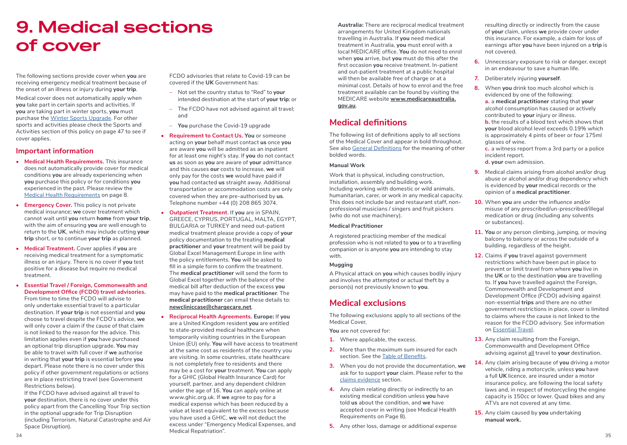## **9. Medical sections of cover**

The following sections provide cover when **you** are receiving emergency medical treatment because of the onset of an illness or injury during **your trip**.

Medical cover does not automatically apply when **you** take part in certain sports and activities. If **you** are taking part in winter sports, **you** must purchase the Winter Sports Upgrade. For other sports and activities please check the Sports and Activities section of this policy on page 47 to see if cover applies.

#### **Important information**

- **• Medical Health Requirements.** This insurance does not automatically provide cover for medical conditions **you** are already experiencing when **you** purchase this policy or for conditions **you** experienced in the past. Please review the Medical Health Requirements on page 8.
- **• Emergency Cover.** This policy is not private medical insurance; **we** cover treatment which cannot wait until **you** return **home** from **your trip**, with the aim of ensuring **you** are well enough to return to the **UK**, which may include cutting **your trip** short, or to continue **your trip** as planned.
- **• Medical Treatment.** Cover applies if **you** are receiving medical treatment for a symptomatic illness or an injury. There is no cover if **you** test positive for a disease but require no medical treatment.
- **• Essential Travel / Foreign, Commonwealth and Development Office (FCDO) travel advisories.**  From time to time the FCDO will advise to only undertake essential travel to a particular destination. If **your trip** is not essential and **you** choose to travel despite the FCDO's advice, **we** will only cover a claim if the cause of that claim is not linked to the reason for the advice. This limitation applies even if **you** have purchased an optional trip disruption upgrade. **You** may be able to travel with full cover if **we** authorise in writing that **your trip** is essential before **you** depart. Please note there is no cover under this policy if other government regulations or actions are in place restricting travel (see Government Restrictions below).

If the FCDO have advised against all travel to **your** destination, there is no cover under this policy apart from the Cancelling Your Trip section in the optional upgrade for Trip Disruption (including Terrorism, Natural Catastrophe and Air Space Disruption).

FCDO advisories that relate to Covid-19 can be covered if the **UK** Government has:

- Not set the country status to "Red" to **your** intended destination at the start of **your trip**; or
- The FCDO have not advised against all travel; and
- **You** purchase the Covid-19 upgrade
- **• Requirement to Contact Us. You** or someone acting on **your** behalf must contact **us** once **you** are aware **you** will be admitted as an inpatient for at least one night's stay. If **you** do not contact **us** as soon as **you** are aware of **your** admittance and this causes **our** costs to increase, **we** will only pay for the costs **we** would have paid if **you** had contacted **us** straight away. Additional transportation or accommodation costs are only covered when they are pre-authorised by **us**. Telephone number +44 (0) 208 865 3074.
- **• Outpatient Treatment**. If **you** are in SPAIN, GREECE, CYPRUS, PORTUGAL, MALTA, EGYPT, BULGARIA or TURKEY and need out-patient medical treatment please provide a copy of **your** policy documentation to the treating **medical practitioner** and **your** treatment will be paid by Global Excel Management Europe in line with the policy entitlements. **You** will be asked to fill in a simple form to confirm the treatment. The **medical practitioner** will send the form to Global Excel together with the balance of the medical bill after deduction of the excess **you** may have paid to the **medical practitioner**. The **medical practitioner** can email these details to: **newcliniccase@chargecare.net**.
- **• Reciprocal Health Agreements. Europe:** If **you** are a United Kingdom resident **you** are entitled to state-provided medical healthcare when temporarily visiting countries in the European Union (EU) only. **You** will have access to treatment at the same cost as residents of the country you are visiting. In some countries, state healthcare is not completely free to residents and there may be a cost for **your** treatment. **You** can apply for a GHIC (Global Health Insurance Card) for yourself, partner, and any dependent children under the age of 16. **You** can apply online at www.ghic.org.uk. If **we** agree to pay for a medical expense which has been reduced by a value at least equivalent to the excess because you have used a GHIC, **we** will not deduct the excess under "Emergency Medical Expenses, and Medical Repatriation".

**Australia:** There are reciprocal medical treatment arrangements for United Kingdom nationals travelling in Australia. If **you** need medical treatment in Australia, **you** must enrol with a local MEDICARE office. **You** do not need to enrol when **you** arrive, but **you** must do this after the first occasion **you** receive treatment. In-patient and out-patient treatment at a public hospital will then be available free of charge or at a minimal cost. Details of how to enrol and the free treatment available can be found by visiting the MEDICARE website **www.medicareaustralia. gov.au**.

### **Medical definitions**

The following list of definitions apply to all sections of the Medical Cover and appear in bold throughout. See also General Definitions for the meaning of other bolded words.

#### **Manual Work**

Work that is physical, including construction, installation, assembly and building work. Including working with domestic or wild animals, humanitarian, carer, or work in any medical capacity. This does not include bar and restaurant staff, nonprofessional musicians / singers and fruit pickers (who do not use machinery).

#### **Medical Practitioner**

A registered practicing member of the medical profession who is not related to **you** or to a travelling companion or is anyone **you** are intending to stay with.

#### **Mugging**

A Physical attack on **you** which causes bodily injury and involves the attempted or actual theft by a person(s) not previously known to **you**.

### **Medical exclusions**

The following exclusions apply to all sections of the Medical Cover,

**You** are not covered for:

- **1.** Where applicable, the excess.
- **2.** More than the maximum sum insured for each section. See the Table of Benefits.
- **3.** When you do not provide the documentation, **we** ask for to support **your** claim. Please refer to the claims evidence section.
- **4.** Any claim relating directly or indirectly to an existing medical condition unless **you** have told **us** about the condition, and **we** have accepted cover in writing (see Medical Health Requirements on Page 8).
- **5.** Any other loss, damage or additional expense

resulting directly or indirectly from the cause of **your** claim, unless **we** provide cover under this insurance. For example, a claim for loss of earnings after **you** have been injured on a **trip** is not covered.

- **6.** Unnecessary exposure to risk or danger, except in an endeavour to save a human life.
- **7.** Deliberately injuring **yourself**.
- **8.** When **you** drink too much alcohol which is evidenced by one of the following:

**a.** a **medical practitioner** stating that **your** alcohol consumption has caused or actively contributed to **your** injury or illness.

**b.** the results of a blood test which shows that **your** blood alcohol level exceeds 0.19% which is approximately 4 pints of beer or four 175ml glasses of wine.

**c.** a witness report from a 3rd party or a police incident report.

- **d. your** own admission.
- **9.** Medical claims arising from alcohol and/or drug abuse or alcohol and/or drug dependency which is evidenced by **your** medical records or the opinion of a **medical practitioner**.
- **10.** When **you** are under the influence and/or misuse of any prescribed/un-prescribed/illegal medication or drug (including any solvents or substances).
- **11. You** or any person climbing, jumping, or moving balcony to balcony or across the outside of a building, regardless of the height.
- **12.** Claims if **you** travel against government restrictions which have been put in place to prevent or limit travel from where **you** live in the **UK** or to the destination **you** are travelling to. If **you** have travelled against the Foreign, Commonwealth and Development and Development Office (FCDO) advising against non-essential **trips** and there are no other government restrictions in place, cover is limited to claims where the cause is not linked to the reason for the FCDO advisory. See information on Essential Travel.
- **13.** Any claim resulting from the Foreign, Commonwealth and Development Office advising against all travel to **your** destination.
- **14.** Any claim arising because of **you** driving a motor vehicle, riding a motorcycle, unless **you** have a full **UK** licence, are insured under a motor insurance policy, are following the local safety laws and, in respect of motorcycling the engine capacity is 150cc or lower. Quad bikes and any ATVs are not covered at any time.
- **15.** Any claim caused by **you** undertaking **manual work.**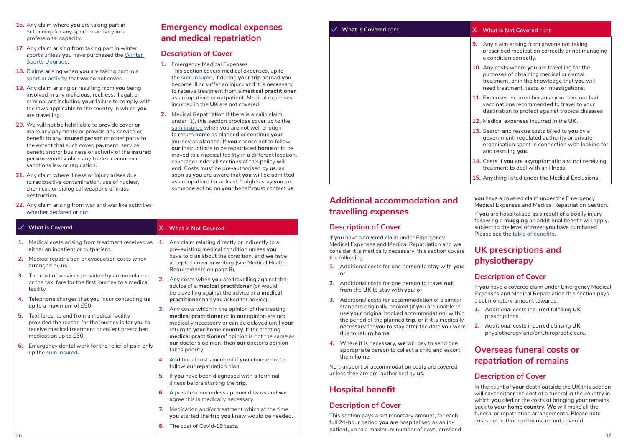- **16.** Any claim where **you** are taking part in or training for any sport or activity in a professional capacity.
- **17.** Any claim arising from taking part in winter sports unless **you** have purchased the Winter Sports Upgrade.
- **18.** Claims arising when **you** are taking part in a sport or activity that **we** do not cover.
- **19.** Any claim arising or resulting from **you** being involved in any malicious, reckless, illegal, or criminal act including **your** failure to comply with the laws applicable to the country in which **you** are travelling.
- **20.** We will not be held liable to provide cover or make any payments or provide any service or benefit to any **insured person** or other party to the extent that such cover, payment, service, benefit and/or business or activity of the **insured person** would violate any trade or economic sanctions law or regulation.
- **21.** Any claim where illness or injury arises due to radioactive contamination, use of nuclear, chemical, or biological weapons of mass destruction.
- **22.** Any claim arising from war and war like activities whether declared or not.

### **Emergency medical expenses and medical repatriation**

#### **Description of Cover**

- **1.** Emergency Medical Expenses This section covers medical expenses, up to the sum insured, if during **your trip** abroad **you** become ill or suffer an injury and it is necessary to receive treatment from a **medical practitioner** as an inpatient or outpatient. Medical expenses incurred in the **UK** are not covered.
- **2.** Medical Repatriation if there is a valid claim under (1), this section provides cover up to the sum insured when **you** are not well enough to return **home** as planned or continue **your** journey as planned. If **you** choose not to follow **our** instructions to be repatriated **home** or to be moved to a medical facility in a different location, coverage under all sections of this policy will end. Costs must be pre-authorised by **us**, as soon as **you** are aware that **you** will be admitted as an inpatient for at least 1 nights stay **you**, or someone acting on **your** behalf must contact **us**.

|    | $\sqrt{ }$ What is Covered                                                                                                                                                  |    | X What is Not Covered                                                                                                                                                                                                                                                                                                                                                     |
|----|-----------------------------------------------------------------------------------------------------------------------------------------------------------------------------|----|---------------------------------------------------------------------------------------------------------------------------------------------------------------------------------------------------------------------------------------------------------------------------------------------------------------------------------------------------------------------------|
| 1. | Medical costs arising from treatment received as<br>either an inpatient or outpatient.                                                                                      | 1. | Any claim relating directly or indirectly to a<br>pre-existing medical condition unless you<br>have told us about the condition, and we have<br>accepted cover in writing (see Medical Health<br>Requirements on page 8).<br>Any costs when you are travelling against the<br>advice of a medical practitioner (or would<br>be travelling against the advice of a medical |
| 2. | Medical repatriation or evacuation costs when<br>arranged by us.                                                                                                            |    |                                                                                                                                                                                                                                                                                                                                                                           |
| 3. | The cost of services provided by an ambulance<br>or the taxi fare for the first journey to a medical<br>facility.                                                           | 2. |                                                                                                                                                                                                                                                                                                                                                                           |
| 4. | Telephone charges that you incur contacting us<br>up to a maximum of £50.                                                                                                   |    | practitioner had you asked for advice).                                                                                                                                                                                                                                                                                                                                   |
| 5. | Taxi fares, to and from a medical facility<br>provided the reason for the journey is for you to<br>receive medical treatment or collect prescribed<br>medication up to £50. | 3. | Any costs which in the opinion of the treating<br>medical practitioner or in our opinion are not<br>medically necessary or can be delayed until your<br>return to your home country. If the treating<br>medical practitioners' opinion is not the same as<br>our doctor's opinion, then our doctor's opinion                                                              |
| 6. | Emergency dental work for the relief of pain only<br>up the sum insured.                                                                                                    |    | takes priority.                                                                                                                                                                                                                                                                                                                                                           |
|    |                                                                                                                                                                             |    | 4. Additional costs incurred if you choose not to<br>follow our repatriation plan.                                                                                                                                                                                                                                                                                        |
|    |                                                                                                                                                                             |    | 5. If you have been diagnosed with a terminal<br>illness before starting the trip.                                                                                                                                                                                                                                                                                        |
|    |                                                                                                                                                                             | 6. | A private room unless approved by us and we<br>agree this is medically necessary.                                                                                                                                                                                                                                                                                         |
|    |                                                                                                                                                                             | 7. | Medication and/or treatment which at the time<br>you started the trip you knew would be needed.                                                                                                                                                                                                                                                                           |

**8.** The cost of Covid-19 tests.

| <b>What is Covered cont</b> | X What is Not Covered cont                                                                                                                                                             |
|-----------------------------|----------------------------------------------------------------------------------------------------------------------------------------------------------------------------------------|
|                             | Any claim arising from anyone not taking<br>9.<br>prescribed medication correctly or not managing<br>a condition correctly.                                                            |
|                             | 10. Any costs where you are travelling for the<br>purposes of obtaining medical or dental<br>treatment, or in the knowledge that you will<br>need treatment, tests, or investigations. |
|                             | 11. Expenses incurred because you have not had<br>vaccinations recommended to travel to your<br>destination to protect against tropical diseases                                       |
|                             | 12. Medical expenses incurred in the UK.                                                                                                                                               |
|                             | 13. Search and rescue costs billed to you by a<br>government, regulated authority or private<br>organisation spent in connection with looking for<br>and rescuing you.                 |
|                             | 14. Costs if you are asymptomatic and not receiving<br>treatment to deal with an illness.                                                                                              |
|                             | <b>15.</b> Anything listed under the Medical Exclusions.                                                                                                                               |

### **Additional accommodation and travelling expenses**

#### **Description of Cover**

If **you** have a covered claim under Emergency Medical Expenses and Medical Repatriation and **we** consider it is medically necessary, this section covers the following:

- **1.** Additional costs for one person to stay with **you**: or
- **2.** Additional costs for one person to travel **out** from the **UK** to stay with **you**: or
- **3.** Additional costs for accommodation of a similar standard originally booked (if **you** are unable to use **your** original booked accommodation) within the period of the planned **trip**, or if it is medically necessary for **you** to stay after the date **you** were due to return **home**.
- **4.** Where it is necessary, **we** will pay to send one appropriate person to collect a child and escort them **home**.

No transport or accommodation costs are covered unless they are pre-authorised by **us**.

### **Hospital benefit**

### **Description of Cover**

This section pays a set monetary amount, for each full 24-hour period **you** are hospitalised as an inpatient, up to a maximum number of days, provided **you** have a covered claim under the Emergency Medical Expenses and Medical Repatriation Section.

If **you** are hospitalised as a result of a bodily injury following a **mugging** an additional benefit will apply, subject to the level of cover **you** have purchased. Please see the table of benefits.

### **UK prescriptions and physiotherapy**

### **Description of Cover**

If **you** have a covered claim under Emergency Medical Expenses and Medical Repatriation this section pays a set monetary amount towards:

- **1.** Additional costs incurred fulfilling **UK** prescriptions.
- **2.** Additional costs incurred utilising **UK** physiotherapy and/or Chiropractic care.

### **Overseas funeral costs or repatriation of remains**

### **Description of Cover**

In the event of **your** death outside the **UK** this section will cover either the cost of a funeral in the country in which **you** died or the costs of bringing **your** remains back to **your home country**. **We** will make all the funeral or repatriation arrangements. Please note costs not authorised by **us** are not covered.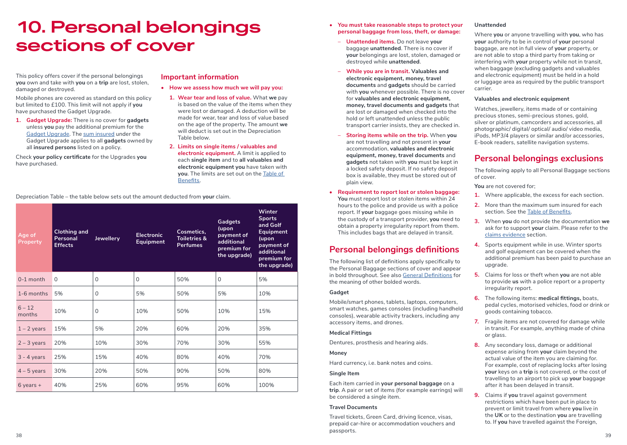## **10. Personal belongings sections of cover**

This policy offers cover if the personal belongings **you** own and take with **you** on a **trip** are lost, stolen, damaged or destroyed.

Mobile phones are covered as standard on this policy but limited to £100. This limit will not apply if **you** have purchased the Gadget Upgrade.

**1. Gadget Upgrade:** There is no cover for **gadgets** unless **you** pay the additional premium for the Gadget Upgrade. The sum insured under the Gadget Upgrade applies to all **gadgets** owned by all **insured persons** listed on a policy.

Check **your policy certificate** for the Upgrades **you** have purchased.

#### **Important information**

- **• How we assess how much we will pay you:**
	- **1. Wear tear and loss of value.** What **we** pay is based on the value of the items when they were lost or damaged. A deduction will be made for wear, tear and loss of value based on the age of the property. The amount **we** will deduct is set out in the Depreciation Table below.
	- **2. Limits on single items / valuables and electronic equipment.** A limit is applied to each **single item** and to **all valuables and electronic equipment you** have taken with **you**. The limits are set out on the Table of Benefits.

Depreciation Table – the table below sets out the amount deducted from **your** claim.

| Age of<br><b>Property</b> | <b>Clothing and</b><br>Personal<br><b>Effects</b> | Jewellery | <b>Electronic</b><br><b>Equipment</b> | Cosmetics.<br><b>Toiletries &amp;</b><br><b>Perfumes</b> | <b>Gadgets</b><br>(upon<br>payment of<br>additional<br>premium for<br>the upgrade) | <b>Winter</b><br><b>Sports</b><br>and Golf<br><b>Equipment</b><br>(upon<br>payment of<br>additional<br>premium for<br>the upgrade) |
|---------------------------|---------------------------------------------------|-----------|---------------------------------------|----------------------------------------------------------|------------------------------------------------------------------------------------|------------------------------------------------------------------------------------------------------------------------------------|
| $0-1$ month               | $\Omega$                                          | $\Omega$  | $\Omega$                              | 50%                                                      | $\Omega$                                                                           | 5%                                                                                                                                 |
| 1-6 months                | 5%                                                | $\Omega$  | 5%                                    | 50%                                                      | 5%                                                                                 | 10%                                                                                                                                |
| $6 - 12$<br>months        | 10%                                               | $\Omega$  | 10%                                   | 50%                                                      | 10%                                                                                | 15%                                                                                                                                |
| $1 - 2$ years             | 15%                                               | 5%        | 20%                                   | 60%                                                      | 20%                                                                                | 35%                                                                                                                                |
| $2 - 3$ years             | 20%                                               | 10%       | 30%                                   | 70%                                                      | 30%                                                                                | 55%                                                                                                                                |
| $3 - 4$ years             | 25%                                               | 15%       | 40%                                   | 80%                                                      | 40%                                                                                | 70%                                                                                                                                |
| $4 - 5$ years             | 30%                                               | 20%       | 50%                                   | 90%                                                      | 50%                                                                                | 80%                                                                                                                                |
| $6$ years +               | 40%                                               | 25%       | 60%                                   | 95%                                                      | 60%                                                                                | 100%                                                                                                                               |

- **• You must take reasonable steps to protect your personal baggage from loss, theft, or damage:** 
	- **Unattended items.** Do not leave **your** baggage **unattended**. There is no cover if **your** belongings are lost, stolen, damaged or destroyed while **unattended**.
	- **While you are in transit. Valuables and electronic equipment, money, travel documents** and **gadgets** should be carried with **you** whenever possible. There is no cover for **valuables and electronic equipment, money, travel documents and gadgets** that are lost or damaged when checked into the hold or left unattended unless the public transport carrier insists, they are checked in.
	- **Storing items while on the trip.** When **you** are not travelling and not present in **your** accommodation, **valuables and electronic equipment, money, travel documents** and **gadgets** not taken with **you** must be kept in a locked safety deposit. If no safety deposit box is available, they must be stored out of plain view.
- **• Requirement to report lost or stolen baggage: You** must report lost or stolen items within 24 hours to the police and provide us with a police report. If **your** baggage goes missing while in the custody of a transport provider, **you** need to obtain a property irregularity report from them. This includes bags that are delayed in transit.

### **Personal belongings definitions**

The following list of definitions apply specifically to the Personal Baggage sections of cover and appear in bold throughout. See also General Definitions for the meaning of other bolded words.

#### **Gadget**

Mobile/smart phones, tablets, laptops, computers, smart watches, games consoles (including handheld consoles), wearable activity trackers, including any accessory items, and drones.

#### **Medical Fittings**

Dentures, prosthesis and hearing aids.

#### **Money**

Hard currency, i.e. bank notes and coins.

#### **Single Item**

Each item carried in **your personal baggage** on a **trip**. A pair or set of items (for example earrings) will be considered a single item.

#### **Travel Documents**

Travel tickets, Green Card, driving licence, visas, prepaid car-hire or accommodation vouchers and passports.

#### **Unattended**

Where **you** or anyone travelling with **you**, who has **your** authority to be in control of **your** personal baggage, are not in full view of **your** property, or are not able to stop a third party from taking or interfering with **your** property while not in transit, when baggage (excluding gadgets and valuables and electronic equipment) must be held in a hold or luggage area as required by the public transport carrier.

#### **Valuables and electronic equipment**

Watches, jewellery, items made of or containing precious stones, semi-precious stones, gold, silver or platinum, camcorders and accessories, all photographic/ digital/ optical/ audio/ video media, iPods, MP3/4 players or similar and/or accessories, E-book readers, satellite navigation systems.

### **Personal belongings exclusions**

The following apply to all Personal Baggage sections of cover.

**You** are not covered for;

- **1.** Where applicable, the excess for each section.
- **2.** More than the maximum sum insured for each section. See the Table of Benefits.
- **3.** When **you** do not provide the documentation **we** ask for to support **your** claim. Please refer to the claims evidence section.
- **4.** Sports equipment while in use. Winter sports and golf equipment can be covered when the additional premium has been paid to purchase an upgrade.
- **5.** Claims for loss or theft when **you** are not able to provide **us** with a police report or a property irregularity report.
- **6.** The following items: **medical fittings,** boats, pedal cycles, motorised vehicles, food or drink or goods containing tobacco.
- **7.** Fragile items are not covered for damage while in transit. For example, anything made of china or glass.
- **8.** Any secondary loss, damage or additional expense arising from **your** claim beyond the actual value of the item you are claiming for. For example, cost of replacing locks after losing **your** keys on a **trip** is not covered, or the cost of travelling to an airport to pick up **your** baggage after it has been delayed in transit.
- **9.** Claims if **you** travel against government restrictions which have been put in place to prevent or limit travel from where **you** live in the **UK** or to the destination **you** are travelling to. If **you** have travelled against the Foreign,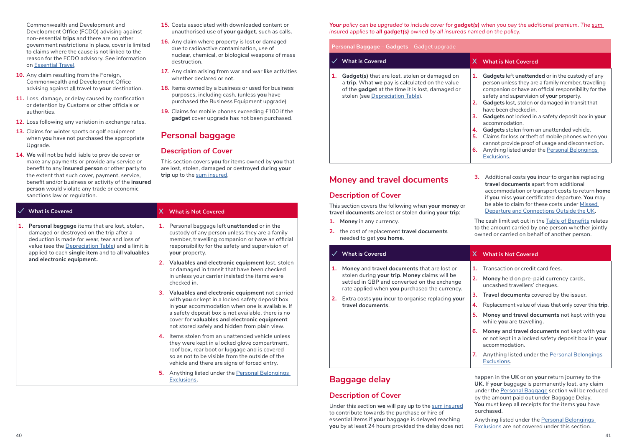Commonwealth and Development and Development Office (FCDO) advising against non-essential **trips** and there are no other government restrictions in place, cover is limited to claims where the cause is not linked to the reason for the FCDO advisory. See information on Essential Travel.

- **10.** Any claim resulting from the Foreign, Commonwealth and Development Office advising against all travel to **your** destination.
- **11.** Loss, damage, or delay caused by confiscation or detention by Customs or other officials or authorities.
- **12.** Loss following any variation in exchange rates.
- **13.** Claims for winter sports or golf equipment when **you** have not purchased the appropriate Upgrade.
- **14. We** will not be held liable to provide cover or make any payments or provide any service or benefit to any **insured person** or other party to the extent that such cover, payment, service, benefit and/or business or activity of the **insured person** would violate any trade or economic sanctions law or regulation.
- **15.** Costs associated with downloaded content or unauthorised use of **your gadget**, such as calls.
- **16.** Any claim where property is lost or damaged due to radioactive contamination, use of nuclear, chemical, or biological weapons of mass destruction.
- **17.** Any claim arising from war and war like activities whether declared or not.
- **18.** Items owned by a business or used for business purposes, including cash. (unless **you** have purchased the Business Equipment upgrade)
- **19.** Claims for mobile phones exceeding £100 if the **gadget** cover upgrade has not been purchased.

### **Personal baggage**

### **Description of Cover**

This section covers **you** for items owned by **you** that are lost, stolen, damaged or destroyed during **your trip** up to the sum insured.

|    | <b>What is Covered</b>                                                                                                                                                                                                                             |                   | X What is Not Covered                                                                                                                                                                                                                                                                                       |
|----|----------------------------------------------------------------------------------------------------------------------------------------------------------------------------------------------------------------------------------------------------|-------------------|-------------------------------------------------------------------------------------------------------------------------------------------------------------------------------------------------------------------------------------------------------------------------------------------------------------|
| 1. | Personal baggage items that are lost, stolen,<br>damaged or destroyed on the trip after a<br>deduction is made for wear, tear and loss of<br>value (see the Depreciation Table) and a limit is<br>applied to each single item and to all valuables | 1.                | Personal baggage left unattended or in the<br>custody of any person unless they are a family<br>member, travelling companion or have an official<br>responsibility for the safety and supervision of<br>your property.                                                                                      |
|    | and electronic equipment.                                                                                                                                                                                                                          | 2.<br>checked in. | Valuables and electronic equipment lost, stolen<br>or damaged in transit that have been checked<br>in unless your carrier insisted the items were                                                                                                                                                           |
|    |                                                                                                                                                                                                                                                    | 3.                | Valuables and electronic equipment not carried<br>with you or kept in a locked safety deposit box<br>in your accommodation when one is available. If<br>a safety deposit box is not available, there is no<br>cover for valuables and electronic equipment<br>not stored safely and hidden from plain view. |
|    |                                                                                                                                                                                                                                                    | 4.                | Items stolen from an unattended vehicle unless<br>they were kept in a locked glove compartment,<br>roof box, rear boot or luggage and is covered<br>so as not to be visible from the outside of the<br>vehicle and there are signs of forced entry.                                                         |
|    |                                                                                                                                                                                                                                                    | 5.                | Anything listed under the Personal Belongings<br>Exclusions.                                                                                                                                                                                                                                                |

*Your* policy can be upgraded to include cover for **gadget(s)** when you pay the additional premium. The sum *insured applies to all gadget(s) owned by all insureds named on the policy.*

#### **Personal Baggage – Gadgets** – Gadget upgrade

|    | <b>What is Covered</b>                                                                                                                                                                  | x.                               | <b>What is Not Covered</b>                                                                                                                                                                                                                                                                                                                                                                                                                                                                                                                                                             |
|----|-----------------------------------------------------------------------------------------------------------------------------------------------------------------------------------------|----------------------------------|----------------------------------------------------------------------------------------------------------------------------------------------------------------------------------------------------------------------------------------------------------------------------------------------------------------------------------------------------------------------------------------------------------------------------------------------------------------------------------------------------------------------------------------------------------------------------------------|
| 1. | Gadget(s) that are lost, stolen or damaged on<br>a trip. What we pay is calculated on the value<br>of the gadget at the time it is lost, damaged or<br>stolen (see Depreciation Table). | 1.<br>2.<br>3.<br>4.<br>5.<br>6. | Gadgets left unattended or in the custody of any<br>person unless they are a family member, travelling<br>companion or have an official responsibility for the<br>safety and supervision of your property.<br>Gadgets lost, stolen or damaged in transit that<br>have been checked in.<br>Gadgets not locked in a safety deposit box in your<br>accommodation.<br>Gadgets stolen from an unattended vehicle.<br>Claims for loss or theft of mobile phones when you<br>cannot provide proof of usage and disconnection.<br>Anything listed under the Personal Belongings<br>Exclusions. |

### **Money and travel documents**

#### **Description of Cover**

This section covers the following when **your money** or **travel documents** are lost or stolen during **your trip**:

- **1. Money** in any currency.
- **2.** the cost of replacement **travel documents** needed to get **you home**.

**3.** Additional costs **you** incur to organise replacing **travel documents** apart from additional accommodation or transport costs to return **home** if **you** miss **your** certificated departure. **You** may be able to claim for these costs under Missed Departure and Connections Outside the UK.

The cash limit set out in the Table of Benefits relates to the amount carried by one person whether jointly owned or carried on behalf of another person.

| <b>What is Covered</b>                                                                                                                         | x. | <b>What is Not Covered</b>                                                                                           |
|------------------------------------------------------------------------------------------------------------------------------------------------|----|----------------------------------------------------------------------------------------------------------------------|
| Money and travel documents that are lost or                                                                                                    | 1. | Transaction or credit card fees.                                                                                     |
| stolen during your trip. Money claims will be<br>settled in GBP and converted on the exchange<br>rate applied when you purchased the currency. | 2. | Money held on pre-paid currency cards,<br>uncashed travellers' cheques.                                              |
| 2. Extra costs you incur to organise replacing your                                                                                            | 3. | <b>Travel documents</b> covered by the issuer.                                                                       |
| travel documents.                                                                                                                              | 4. | Replacement value of visas that only cover this trip.                                                                |
| 7.                                                                                                                                             | 5. | Money and travel documents not kept with you<br>while you are travelling.                                            |
|                                                                                                                                                | 6. | Money and travel documents not kept with you<br>or not kept in a locked safety deposit box in your<br>accommodation. |
|                                                                                                                                                |    | Anything listed under the Personal Belongings<br>Exclusions.                                                         |
|                                                                                                                                                |    |                                                                                                                      |

### **Baggage delay**

### **Description of Cover**

Under this section **we** will pay up to the sum insured to contribute towards the purchase or hire of essential items if **your** baggage is delayed reaching **you** by at least 24 hours provided the delay does not happen in the **UK** or on **your** return journey to the **UK**. If **your** baggage is permanently lost, any claim under the Personal Baggage section will be reduced by the amount paid out under Baggage Delay. **You** must keep all receipts for the items **you** have purchased.

Anything listed under the Personal Belongings Exclusions are not covered under this section.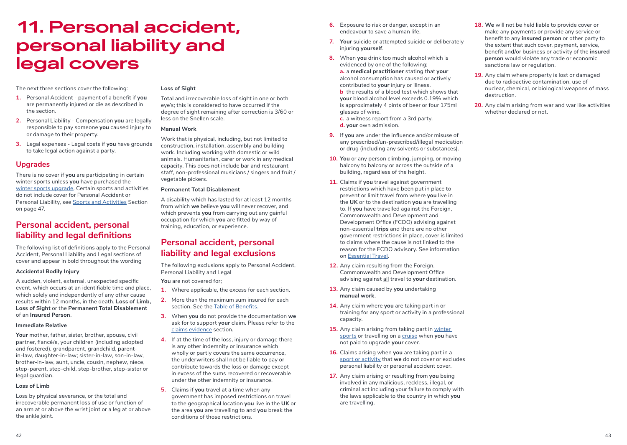## **11. Personal accident, personal liability and legal covers**

The next three sections cover the following:

- **1.** Personal Accident payment of a benefit if **you** are permanently injured or die as described in the section.
- **2.** Personal Liability Compensation **you** are legally responsible to pay someone **you** caused injury to or damage to their property.
- **3.** Legal expenses Legal costs if **you** have grounds to take legal action against a party.

### **Upgrades**

There is no cover if **you** are participating in certain winter sports unless **you** have purchased the winter sports upgrade. Certain sports and activities do not include cover for Personal Accident or Personal Liability, see Sports and Activities Section on page 47.

### **Personal accident, personal liability and legal definitions**

The following list of definitions apply to the Personal Accident, Personal Liability and Legal sections of cover and appear in bold throughout the wording

#### **Accidental Bodily Injury**

A sudden, violent, external, unexpected specific event, which occurs at an identifiable time and place, which solely and independently of any other cause results within 12 months, in the death, **Loss of Limb, Loss of Sight** or the **Permanent Total Disablement** of an **Insured Person**.

#### **Immediate Relative**

Your mother, father, sister, brother, spouse, civil partner, fiancé/e, your children (including adopted and fostered), grandparent, grandchild, parentin-law, daughter-in-law; sister-in-law, son-in-law, brother-in-law, aunt, uncle, cousin, nephew, niece, step-parent, step-child, step-brother, step-sister or legal guardian.

#### **Loss of Limb**

Loss by physical severance, or the total and irrecoverable permanent loss of use or function of an arm at or above the wrist joint or a leg at or above the ankle joint.

#### **Loss of Sight**

Total and irrecoverable loss of sight in one or both eye's; this is considered to have occurred if the degree of sight remaining after correction is 3/60 or less on the Snellen scale.

#### **Manual Work**

Work that is physical, including, but not limited to construction, installation, assembly and building work. Including working with domestic or wild animals. Humanitarian, carer or work in any medical capacity. This does not include bar and restaurant staff, non-professional musicians / singers and fruit / vegetable pickers.

#### **Permanent Total Disablement**

A disability which has lasted for at least 12 months from which **we** believe **you** will never recover, and which prevents **you** from carrying out any gainful occupation for which **you** are fitted by way of training, education, or experience.

### **Personal accident, personal liability and legal exclusions**

The following exclusions apply to Personal Accident, Personal Liability and Legal

**You** are not covered for;

- **1.** Where applicable, the excess for each section.
- **2.** More than the maximum sum insured for each section. See the Table of Benefits.
- **3.** When **you** do not provide the documentation **we** ask for to support **your** claim. Please refer to the claims evidence section.
- **4.** If at the time of the loss, injury or damage there is any other indemnity or insurance which wholly or partly covers the same occurrence, the underwriters shall not be liable to pay or contribute towards the loss or damage except in excess of the sums recovered or recoverable under the other indemnity or insurance.
- **5.** Claims if **you** travel at a time when any government has imposed restrictions on travel to the geographical location **you** live in the **UK** or the area **you** are travelling to and **you** break the conditions of those restrictions.
- **6.** Exposure to risk or danger, except in an endeavour to save a human life.
- **7. Your** suicide or attempted suicide or deliberately injuring **yourself**.
- **8.** When **you** drink too much alcohol which is evidenced by one of the following;

**a.** a **medical practitioner** stating that **your** alcohol consumption has caused or actively contributed to **your** injury or illness.

**b** the results of a blood test which shows that **your** blood alcohol level exceeds 0.19% which is approximately 4 pints of beer or four 175ml glasses of wine.

**c**. a witness report from a 3rd party. **d. your** own admission.

- **9.** If **you** are under the influence and/or misuse of any prescribed/un-prescribed/illegal medication or drug (including any solvents or substances).
- **10. You** or any person climbing, jumping, or moving balcony to balcony or across the outside of a building, regardless of the height.
- **11.** Claims if **you** travel against government restrictions which have been put in place to prevent or limit travel from where **you** live in the **UK** or to the destination **you** are travelling to. If **you** have travelled against the Foreign, Commonwealth and Development and Development Office (FCDO) advising against non-essential **trips** and there are no other government restrictions in place, cover is limited to claims where the cause is not linked to the reason for the FCDO advisory. See information on Essential Travel.
- **12.** Any claim resulting from the Foreign, Commonwealth and Development Office advising against all travel to **your** destination.
- **13.** Any claim caused by **you** undertaking **manual work**.
- **14.** Any claim where **you** are taking part in or training for any sport or activity in a professional capacity.
- **15.** Any claim arising from taking part in winter sports or travelling on a cruise when **you** have not paid to upgrade **your** cover.
- **16.** Claims arising when **you** are taking part in a sport or activity that **we** do not cover or excludes personal liability or personal accident cover.
- **17.** Any claim arising or resulting from **you** being involved in any malicious, reckless, illegal, or criminal act including your failure to comply with the laws applicable to the country in which **you** are travelling.

#### **18. We** will not be held liable to provide cover or make any payments or provide any service or benefit to any **insured person** or other party to the extent that such cover, payment, service, benefit and/or business or activity of the **insured person** would violate any trade or economic sanctions law or regulation.

- **19.** Any claim where property is lost or damaged due to radioactive contamination, use of nuclear, chemical, or biological weapons of mass destruction.
- **20.** Any claim arising from war and war like activities whether declared or not.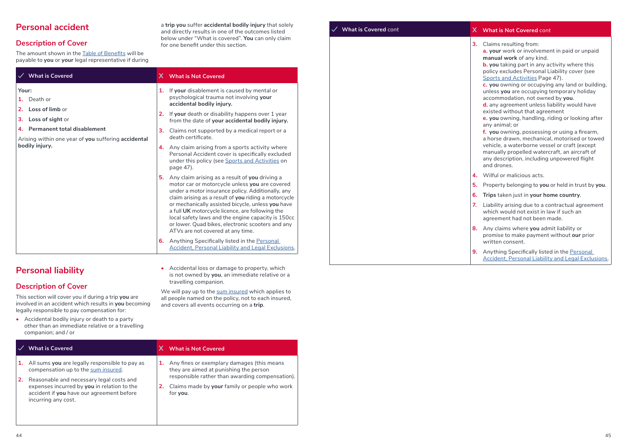### **Personal accident**

### **Description of Cover**

The amount shown in the Table of Benefits will be payable to **you** or **your** legal representative if during

|          | $\checkmark$ What is Covered                                                          |                                                                            |                                                                                                                                                                                                                                                                                                                                                                                                                                                                       |  |
|----------|---------------------------------------------------------------------------------------|----------------------------------------------------------------------------|-----------------------------------------------------------------------------------------------------------------------------------------------------------------------------------------------------------------------------------------------------------------------------------------------------------------------------------------------------------------------------------------------------------------------------------------------------------------------|--|
| Your:    | 1. Death or                                                                           | 1.<br>4.<br>5.                                                             | If your disablement is caused by mental or<br>psychological trauma not involving your<br>accidental bodily injury.                                                                                                                                                                                                                                                                                                                                                    |  |
| 2.<br>з. | Loss of limb or<br>Loss of sight or                                                   |                                                                            | If your death or disability happens over 1 year<br>from the date of your accidental bodily injury.                                                                                                                                                                                                                                                                                                                                                                    |  |
|          | 4. Permanent total disablement<br>Arising within one year of you suffering accidental | X What is Not Covered<br>2.<br>3.<br>death certificate.<br>page 47).<br>6. | Claims not supported by a medical report or a                                                                                                                                                                                                                                                                                                                                                                                                                         |  |
|          | bodily injury.                                                                        |                                                                            | Any claim arising from a sports activity where<br>Personal Accident cover is specifically excluded<br>under this policy (see Sports and Activities on                                                                                                                                                                                                                                                                                                                 |  |
|          |                                                                                       |                                                                            | Any claim arising as a result of you driving a<br>motor car or motorcycle unless you are covered<br>under a motor insurance policy. Additionally, any<br>claim arising as a result of you riding a motorcycle<br>or mechanically assisted bicycle, unless you have<br>a full UK motorcycle licence, are following the<br>local safety laws and the engine capacity is 150cc<br>or lower. Quad bikes, electronic scooters and any<br>ATVs are not covered at any time. |  |
|          |                                                                                       |                                                                            | Anything Specifically listed in the Personal<br><b>Accident, Personal Liability and Legal Exclusions.</b>                                                                                                                                                                                                                                                                                                                                                             |  |

### **Personal liability**

### **Description of Cover**

This section will cover you if during a trip **you** are involved in an accident which results in **you** becoming legally responsible to pay compensation for:

**•** Accidental bodily injury or death to a party other than an immediate relative or a travelling companion; and / or

|    | <b>What is Covered</b>                                                                                                                                      | x. | <b>What is Not Covered</b>                                                                                   |
|----|-------------------------------------------------------------------------------------------------------------------------------------------------------------|----|--------------------------------------------------------------------------------------------------------------|
|    | 1. All sums you are legally responsible to pay as<br>compensation up to the sum insured.                                                                    |    | Any fines or exemplary damages (this means<br>they are aimed at punishing the person                         |
| 2. | Reasonable and necessary legal costs and<br>expenses incurred by you in relation to the<br>accident if you have our agreement before<br>incurring any cost. |    | responsible rather than awarding compensation).<br>Claims made by your family or people who work<br>for you. |

a **trip you** suffer **accidental bodily injury** that solely and directly results in one of the outcomes listed below under "What is covered". **You** can only claim for one benefit under this section.

**•** Accidental loss or damage to property, which is not owned by **you**, an immediate relative or a

We will pay up to the sum insured which applies to all people named on the policy, not to each insured,

and covers all events occurring on a **trip**.

travelling companion.

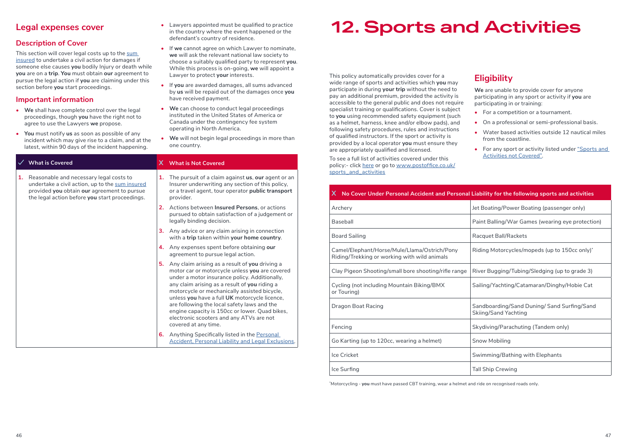|                                                                                                                                                                                                                                                                                                                                                                                                                                                                                                                                                                                                                                                                                                         | defendant's country of residence.                                                                                                                                                                                                                                                                                                                                                                                                                                                                                                                                                                                                    |                                                                                                                                                                                                                                                                                                                                                                                                                                                                                                                                                           |  |
|---------------------------------------------------------------------------------------------------------------------------------------------------------------------------------------------------------------------------------------------------------------------------------------------------------------------------------------------------------------------------------------------------------------------------------------------------------------------------------------------------------------------------------------------------------------------------------------------------------------------------------------------------------------------------------------------------------|--------------------------------------------------------------------------------------------------------------------------------------------------------------------------------------------------------------------------------------------------------------------------------------------------------------------------------------------------------------------------------------------------------------------------------------------------------------------------------------------------------------------------------------------------------------------------------------------------------------------------------------|-----------------------------------------------------------------------------------------------------------------------------------------------------------------------------------------------------------------------------------------------------------------------------------------------------------------------------------------------------------------------------------------------------------------------------------------------------------------------------------------------------------------------------------------------------------|--|
| <b>Description of Cover</b><br>This section will cover legal costs up to the sum<br>insured to undertake a civil action for damages if<br>someone else causes you bodily Injury or death while<br>you are on a trip. You must obtain our agreement to<br>pursue the legal action if you are claiming under this<br>section before you start proceedings.<br>Important information<br>• We shall have complete control over the legal<br>proceedings, though you have the right not to<br>agree to use the Lawyers we propose.<br>You must notify us as soon as possible of any<br>$\bullet$<br>incident which may give rise to a claim, and at the<br>latest, within 90 days of the incident happening. | If we cannot agree on which Lawyer to nominate,<br>we will ask the relevant national law society to<br>choose a suitably qualified party to represent you.<br>While this process is on-going, we will appoint a<br>Lawyer to protect your interests.<br>• If you are awarded damages, all sums advanced<br>by us will be repaid out of the damages once you<br>have received payment.<br>We can choose to conduct legal proceedings<br>instituted in the United States of America or<br>Canada under the contingency fee system<br>operating in North America.<br>• We will not begin legal proceedings in more than<br>one country. | This policy automatically provides cover for a<br>wide range of sports and activities which you<br>participate in during your trip without the ne<br>pay an additional premium, provided the acti<br>accessible to the general public and does not<br>specialist training or qualifications. Cover is s<br>to you using recommended safety equipmen<br>as a helmet, harness, knee and/or elbow pad<br>following safety procedures, rules and instru<br>of qualified instructors. If the sport or activity<br>provided by a local operator you must ensure |  |
| <b>What is Covered</b>                                                                                                                                                                                                                                                                                                                                                                                                                                                                                                                                                                                                                                                                                  | X What is Not Covered                                                                                                                                                                                                                                                                                                                                                                                                                                                                                                                                                                                                                | are appropriately qualified and licensed.<br>To see a full list of activities covered under th<br>policy:- click here or go to www.postoffice.co                                                                                                                                                                                                                                                                                                                                                                                                          |  |
| 1. Reasonable and necessary legal costs to<br>undertake a civil action, up to the sum insured<br>provided you obtain our agreement to pursue<br>the legal action before you start proceedings.                                                                                                                                                                                                                                                                                                                                                                                                                                                                                                          | 1. The pursuit of a claim against us, our agent or an<br>Insurer underwriting any section of this policy.<br>or a travel agent, tour operator public transport<br>provider.<br>2. Actions between Insured Persons, or actions<br>pursued to obtain satisfaction of a judgement or<br>legally binding decision.<br>3. Any advice or any claim arising in connection<br>with a trip taken within your home country.                                                                                                                                                                                                                    | sports_and_activities<br>X.<br>No Cover Under Personal Accident and<br>Archery<br>Baseball<br><b>Board Sailing</b>                                                                                                                                                                                                                                                                                                                                                                                                                                        |  |
|                                                                                                                                                                                                                                                                                                                                                                                                                                                                                                                                                                                                                                                                                                         | 4. Any expenses spent before obtaining our<br>agreement to pursue legal action.<br>5. Any claim arising as a result of you driving a                                                                                                                                                                                                                                                                                                                                                                                                                                                                                                 | Camel/Elephant/Horse/Mule/Llama/Ostrich,<br>Riding/Trekking or working with wild anima                                                                                                                                                                                                                                                                                                                                                                                                                                                                    |  |
|                                                                                                                                                                                                                                                                                                                                                                                                                                                                                                                                                                                                                                                                                                         | motor car or motorcycle unless you are covered                                                                                                                                                                                                                                                                                                                                                                                                                                                                                                                                                                                       | Clay Pigeon Shooting/small bore shooting/ri                                                                                                                                                                                                                                                                                                                                                                                                                                                                                                               |  |
|                                                                                                                                                                                                                                                                                                                                                                                                                                                                                                                                                                                                                                                                                                         | under a motor insurance policy. Additionally,<br>any claim arising as a result of you riding a<br>motorcycle or mechanically assisted bicycle,<br>unless you have a full UK motorcycle licence,                                                                                                                                                                                                                                                                                                                                                                                                                                      | Cycling (not including Mountain Biking/BMX<br>or Touring)                                                                                                                                                                                                                                                                                                                                                                                                                                                                                                 |  |
|                                                                                                                                                                                                                                                                                                                                                                                                                                                                                                                                                                                                                                                                                                         | are following the local safety laws and the<br>engine capacity is 150cc or lower. Quad bikes,<br>electronic scooters and any ATVs are not                                                                                                                                                                                                                                                                                                                                                                                                                                                                                            | Dragon Boat Racing                                                                                                                                                                                                                                                                                                                                                                                                                                                                                                                                        |  |
|                                                                                                                                                                                                                                                                                                                                                                                                                                                                                                                                                                                                                                                                                                         | covered at any time.                                                                                                                                                                                                                                                                                                                                                                                                                                                                                                                                                                                                                 | Fencing                                                                                                                                                                                                                                                                                                                                                                                                                                                                                                                                                   |  |
|                                                                                                                                                                                                                                                                                                                                                                                                                                                                                                                                                                                                                                                                                                         | Anything Specifically listed in the Personal<br>6.<br>Accident, Personal Liability and Legal Exclusions.                                                                                                                                                                                                                                                                                                                                                                                                                                                                                                                             | Go Karting (up to 120cc, wearing a helmet)                                                                                                                                                                                                                                                                                                                                                                                                                                                                                                                |  |
|                                                                                                                                                                                                                                                                                                                                                                                                                                                                                                                                                                                                                                                                                                         |                                                                                                                                                                                                                                                                                                                                                                                                                                                                                                                                                                                                                                      | $1 - 0$                                                                                                                                                                                                                                                                                                                                                                                                                                                                                                                                                   |  |

**•** Lawyers appointed must be qualified to practice in the country where the event happened or the

## **12. Sports and Activities**

This policy automatically provides cover for a **u** may eed to ivity is t require subject nt (such ds), and uctions of qualified instructors. If the sport or activity is provided by a local operator **you** must ensure they

To see a full list of activities covered under this policy:- click <u>here</u> or go to <u>www.postoffice.co.uk</u>/

### **Eligibility**

**We** are unable to provide cover for anyone participating in any sport or activity if **you** are participating in or training:

- **•** For a competition or a tournament.
- **•** On a professional or semi-professional basis.
- **•** Water based activities outside 12 nautical miles from the coastline.
- **•** For any sport or activity listed under "Sports and Activities not Covered".

| X No Cover Under Personal Accident and Personal Liability for the following sports and activities |                                                                           |
|---------------------------------------------------------------------------------------------------|---------------------------------------------------------------------------|
| Archery                                                                                           | Jet Boating/Power Boating (passenger only)                                |
| Baseball                                                                                          | Paint Balling/War Games (wearing eye protection)                          |
| <b>Board Sailing</b>                                                                              | Racquet Ball/Rackets                                                      |
| Camel/Elephant/Horse/Mule/Llama/Ostrich/Pony<br>Riding/Trekking or working with wild animals      | Riding Motorcycles/mopeds (up to 150cc only)*                             |
| Clay Pigeon Shooting/small bore shooting/rifle range                                              | River Bugging/Tubing/Sledging (up to grade 3)                             |
| Cycling (not including Mountain Biking/BMX<br>or Touring)                                         | Sailing/Yachting/Catamaran/Dinghy/Hobie Cat                               |
| Dragon Boat Racing                                                                                | Sandboarding/Sand Duning/Sand Surfing/Sand<br><b>Skiing/Sand Yachting</b> |
| Fencing                                                                                           | Skydiving/Parachuting (Tandem only)                                       |
| Go Karting (up to 120cc, wearing a helmet)                                                        | Snow Mobiling                                                             |
| Ice Cricket                                                                                       | Swimming/Bathing with Elephants                                           |
| Ice Surfing                                                                                       | <b>Tall Ship Crewing</b>                                                  |

\* Motorcycling - **you** must have passed CBT training, wear a helmet and ride on recognised roads only.

**Legal expenses cover**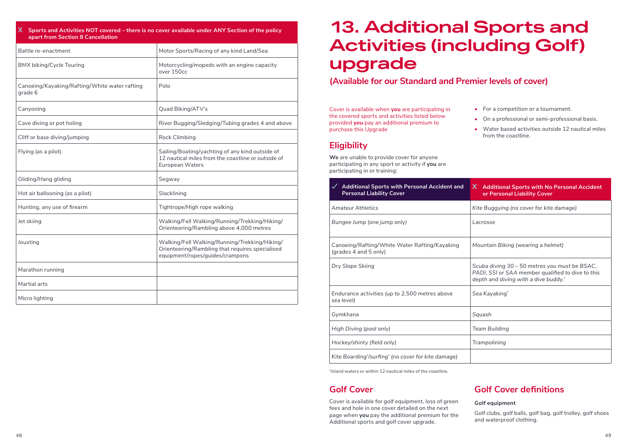| X Sports and Activities NOT covered – there is no cover available under ANY Section of the policy<br>apart from Section 8 Cancellation |                                                                                                                                     |  |  |
|----------------------------------------------------------------------------------------------------------------------------------------|-------------------------------------------------------------------------------------------------------------------------------------|--|--|
| Battle re-enactment                                                                                                                    | Motor Sports/Racing of any kind Land/Sea                                                                                            |  |  |
| <b>BMX biking/Cycle Touring</b>                                                                                                        | Motorcycling/mopeds with an engine capacity<br>over 150cc                                                                           |  |  |
| Canoeing/Kayaking/Rafting/White water rafting<br>grade 6                                                                               | Polo                                                                                                                                |  |  |
| Canyoning                                                                                                                              | Quad Biking/ATV's                                                                                                                   |  |  |
| Cave diving or pot holing                                                                                                              | River Bugging/Sledging/Tubing grades 4 and above                                                                                    |  |  |
| Cliff or base diving/jumping                                                                                                           | <b>Rock Climbing</b>                                                                                                                |  |  |
| Flying (as a pilot)                                                                                                                    | Sailing/Boating/yachting of any kind outside of<br>12 nautical miles from the coastline or outside of<br><b>European Waters</b>     |  |  |
| Gliding/Hang gliding                                                                                                                   | Segway                                                                                                                              |  |  |
| Hot air ballooning (as a pilot)                                                                                                        | Slacklining                                                                                                                         |  |  |
| Hunting, any use of firearm                                                                                                            | Tightrope/High rope walking                                                                                                         |  |  |
| Jet skiing                                                                                                                             | Walking/Fell Walking/Running/Trekking/Hiking/<br>Orienteering/Rambling above 4,000 metres                                           |  |  |
| Jousting                                                                                                                               | Walking/Fell Walking/Running/Trekking/Hiking/<br>Orienteering/Rambling that requires specialised<br>equipment/ropes/guides/crampons |  |  |
| Marathon running                                                                                                                       |                                                                                                                                     |  |  |
| Martial arts                                                                                                                           |                                                                                                                                     |  |  |
| Micro lighting                                                                                                                         |                                                                                                                                     |  |  |

## **13. Additional Sports and Activities (including Golf) upgrade**

### **(Available for our Standard and Premier levels of cover)**

Cover is available when **you** are participating in the covered sports and activities listed below provided **you** pay an additional premium to purchase this Upgrade

### **Eligibility**

**We** are unable to provide cover for anyone participating in any sport or activity if **you** are participating in or training:

- **•** For a competition or a tournament.
- **•** On a professional or semi-professional basis.
- **•** Water based activities outside 12 nautical miles from the coastline.

| <b>Additional Sports with Personal Accident and</b><br><b>Personal Liability Cover</b> | X Additional Sports with No Personal Accident<br>or Personal Liability Cover                                                               |
|----------------------------------------------------------------------------------------|--------------------------------------------------------------------------------------------------------------------------------------------|
| <b>Amateur Athletics</b>                                                               | Kite Buggying (no cover for kite damage)                                                                                                   |
| Bungee Jump (one jump only)                                                            | Lacrosse                                                                                                                                   |
| Canoeing/Rafting/White Water Rafting/Kayaking<br>(grades 4 and 5 only)                 | Mountain Biking (wearing a helmet)                                                                                                         |
| Dry Slope Skiing                                                                       | Scuba diving 30 – 50 metres you must be BSAC,<br>PADI, SSI or SAA member qualified to dive to this<br>depth and diving with a dive buddy.* |
| Endurance activities (up to 2,500 metres above<br>sea level)                           | Sea Kayaking*                                                                                                                              |
| Gymkhana                                                                               | Squash                                                                                                                                     |
| High Diving (pool only)                                                                | <b>Team Building</b>                                                                                                                       |
| Hockey/shinty (field only)                                                             | Trampolining                                                                                                                               |
| Kite Boarding'/surfing' (no cover for kite damage)                                     |                                                                                                                                            |

\* Inland waters or within 12 nautical miles of the coastline.

### **Golf Cover**

Cover is available for golf equipment, loss of green fees and hole in one cover detailed on the next page when **you** pay the additional premium for the Additional sports and golf cover upgrade.

### **Golf Cover definitions**

#### **Golf equipment**

Golf clubs, golf balls, golf bag, golf trolley, golf shoes and waterproof clothing.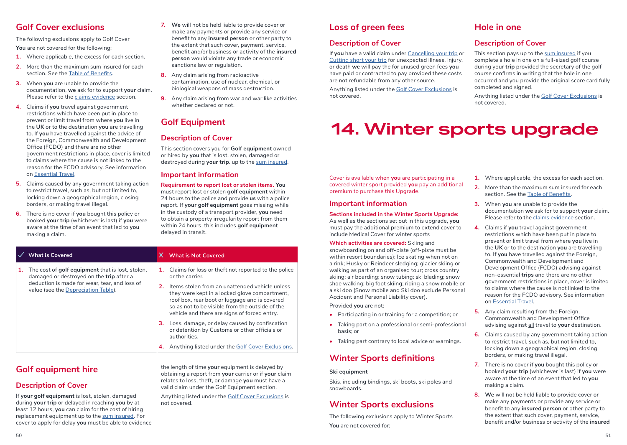### **Golf Cover exclusions**

The following exclusions apply to Golf Cover **You** are not covered for the following:

- **1.** Where applicable, the excess for each section.
- **2.** More than the maximum sum insured for each section. See the Table of Benefits.
- **3.** When **you** are unable to provide the documentation, **we** ask for to support **your** claim. Please refer to the claims evidence section.
- **4.** Claims if **you** travel against government restrictions which have been put in place to prevent or limit travel from where **you** live in the **UK** or to the destination **you** are travelling to. If **you** have travelled against the advice of the Foreign, Commonwealth and Development Office (FCDO) and there are no other government restrictions in place, cover is limited to claims where the cause is not linked to the reason for the FCDO advisory. See information on Essential Travel.
- **5.** Claims caused by any government taking action to restrict travel, such as, but not limited to, locking down a geographical region, closing borders, or making travel illegal.
- **6.** There is no cover if **you** bought this policy or booked **your trip** (whichever is last) if **you** were aware at the time of an event that led to **you** making a claim.
- **7. We** will not be held liable to provide cover or make any payments or provide any service or benefit to any **insured person** or other party to the extent that such cover, payment, service, benefit and/or business or activity of the **insured person** would violate any trade or economic sanctions law or regulation.
- **8.** Any claim arising from radioactive contamination, use of nuclear, chemical, or biological weapons of mass destruction.
- **9.** Any claim arising from war and war like activities whether declared or not.

### **Golf Equipment**

### **Description of Cover**

This section covers you for **Golf equipment** owned or hired by **you** that is lost, stolen, damaged or destroyed during **your trip**. up to the sum insured.

#### **Important information**

authorities.

**Requirement to report lost or stolen items. You** must report lost or stolen **golf equipment** within 24 hours to the police and provide **us** with a police report. If **your golf equipment** goes missing while in the custody of a transport provider, **you** need to obtain a property irregularity report from them within 24 hours, this includes **golf equipment**  delayed in transit.

#### **What is Covered X What is Not Covered 1.** The cost of **golf equipment** that is lost, stolen, damaged or destroyed on the **trip** after a deduction is made for wear, tear, and loss of value (see the Depreciation Table). **1.** Claims for loss or theft not reported to the police or the carrier. **2.** Items stolen from an unattended vehicle unless they were kept in a locked glove compartment, roof box, rear boot or luggage and is covered so as not to be visible from the outside of the vehicle and there are signs of forced entry. **3.** Loss, damage, or delay caused by confiscation or detention by Customs or other officials or

### **Golf equipment hire**

### **Description of Cover**

If **your golf equipment** is lost, stolen, damaged during **your trip** or delayed in reaching **you** by at least 12 hours, **you** can claim for the cost of hiring replacement equipment up to the sum insured. For cover to apply for delay **you** must be able to evidence

the length of time **your** equipment is delayed by obtaining a report from **your** carrier or if **your** claim relates to loss, theft, or damage **you** must have a valid claim under the Golf Equipment section.

**4.** Anything listed under the Golf Cover Exclusions.

Anything listed under the Golf Cover Exclusions is not covered.

### **Loss of green fees**

### **Description of Cover**

If **you** have a valid claim under Cancelling your trip or Cutting short your trip for unexpected illness, injury. or death **we** will pay the for unused green fees **you** have paid or contracted to pay provided these costs are not refundable from any other source.

Anything listed under the Golf Cover Exclusions is not covered.

### **Hole in one**

### **Description of Cover**

This section pays up to the sum insured if you complete a hole in one on a full-sized golf course during your **trip** provided the secretary of the golf course confirms in writing that the hole in one occurred and you provide the original score card fully completed and signed.

Anything listed under the Golf Cover Exclusions is not covered.

## **14. Winter sports upgrade**

#### Cover is available when **you** are participating in a covered winter sport provided **you** pay an additional premium to purchase this Upgrade.

#### **Important information**

#### **Sections included in the Winter Sports Upgrade:**

As well as the sections set out in this upgrade, **you** must pay the additional premium to extend cover to include Medical Cover for winter sports

**Which activities are covered:** Skiing and snowboarding on and off-piste (off-piste must be within resort boundaries); Ice skating when not on a rink; Husky or Reindeer sledging; glacier skiing or walking as part of an organised tour; cross country skiing; air boarding; snow tubing; ski blading; snow shoe walking; big foot skiing; riding a snow mobile or a ski doo (Snow mobile and Ski doo exclude Personal Accident and Personal Liability cover).

Provided **you** are not:

- **•** Participating in or training for a competition; or
- **•** Taking part on a professional or semi-professional basis; or
- **•** Taking part contrary to local advice or warnings.

### **Winter Sports definitions**

#### **Ski equipment**

Skis, including bindings, ski boots, ski poles and snowboards.

### **Winter Sports exclusions**

The following exclusions apply to Winter Sports **You** are not covered for;

- **1.** Where applicable, the excess for each section.
- **2.** More than the maximum sum insured for each section. See the Table of Benefits.
- **3.** When **you** are unable to provide the documentation **we** ask for to support **your** claim. Please refer to the claims evidence section.
- **4.** Claims if **you** travel against government restrictions which have been put in place to prevent or limit travel from where **you** live in the **UK** or to the destination **you** are travelling to. If **you** have travelled against the Foreign, Commonwealth and Development and Development Office (FCDO) advising against non-essential **trips** and there are no other government restrictions in place, cover is limited to claims where the cause is not linked to the reason for the FCDO advisory. See information on Essential Travel.
- **5.** Any claim resulting from the Foreign, Commonwealth and Development Office advising against all travel to **your** destination.
- **6.** Claims caused by any government taking action to restrict travel, such as, but not limited to, locking down a geographical region, closing borders, or making travel illegal.
- **7.** There is no cover if **you** bought this policy or booked **your trip** (whichever is last) if **you** were aware at the time of an event that led to **you** making a claim.
- **8. We** will not be held liable to provide cover or make any payments or provide any service or benefit to any **insured person** or other party to the extent that such cover, payment, service, benefit and/or business or activity of the **insured**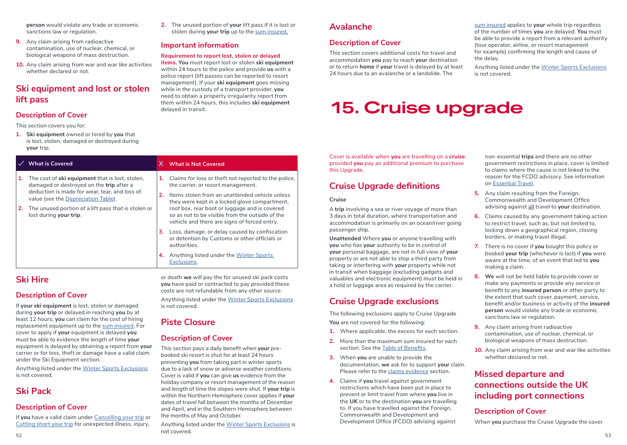**person** would violate any trade or economic sanctions law or regulation.

- **9.** Any claim arising from radioactive contamination, use of nuclear, chemical, or biological weapons of mass destruction.
- **10.** Any claim arising from war and war like activities whether declared or not.

### **Ski equipment and lost or stolen lift pass**

### **Description of Cover**

This section covers you for:

**1. Ski equipment** owned or hired by **you** that is lost, stolen, damaged or destroyed during **your** trip.

|    | <b>What is Covered</b>                                                                                                                                                                                                                                                      |          | X What is Not Covered                                                                                                                                                                                                                                                                                                                             |
|----|-----------------------------------------------------------------------------------------------------------------------------------------------------------------------------------------------------------------------------------------------------------------------------|----------|---------------------------------------------------------------------------------------------------------------------------------------------------------------------------------------------------------------------------------------------------------------------------------------------------------------------------------------------------|
| 2. | The cost of <b>ski equipment</b> that is lost, stolen,<br>damaged or destroyed on the trip after a<br>deduction is made for wear, tear, and loss of<br>value (see the Depreciation Table).<br>The unused portion of a lift pass that is stolen or<br>lost during your trip. | 1.<br>2. | Claims for loss or theft not reported to the police,<br>the carrier, or resort management.<br>Items stolen from an unattended vehicle unless<br>they were kept in a locked glove compartment,<br>roof box, rear boot or luggage and is covered<br>so as not to be visible from the outside of the<br>vehicle and there are signs of forced entry. |
|    |                                                                                                                                                                                                                                                                             | з.       | Loss, damage, or delay caused by confiscation<br>or detention by Customs or other officials or<br>authorities.                                                                                                                                                                                                                                    |
|    |                                                                                                                                                                                                                                                                             | 4.       | Anything listed under the Winter Sports<br>Exclusions.                                                                                                                                                                                                                                                                                            |

is not covered.

**Piste Closure**

**Description of Cover**

the months of May and October.

not covered.

### **Ski Hire**

### **Description of Cover**

If **your ski equipment** is lost, stolen or damaged during **your trip** or delayed in reaching **you** by at least 12 hours, **you** can claim for the cost of hiring replacement equipment up to the sum insured. For cover to apply if **your** equipment is delayed **you** must be able to evidence the length of time **your** equipment is delayed by obtaining a report from **your** carrier or for loss, theft or damage have a valid claim under the Ski Equipment section.

Anything listed under the Winter Sports Exclusions is not covered.

### **Ski Pack**

### **Description of Cover**

If **you** have a valid claim under Cancelling your trip or Cutting short your trip for unexpected illness, injury,

**2.** The unused portion of **your** lift pass if it is lost or stolen during **your trip** up to the sum insured.

### **Important information**

#### **Requirement to report lost, stolen or delayed**

**items. You** must report lost or stolen **ski equipment** within 24 hours to the police and provide **us** with a police report (lift passes can be reported to resort management). If your **ski equipment** goes missing while in the custody of a transport provider, **you** need to obtain a property irregularity report from them within 24 hours, this includes **ski equipment** delayed in transit.

or death **we** will pay the for unused ski pack costs **you** have paid or contracted to pay provided these costs are not refundable from any other source. Anything listed under the Winter Sports Exclusions

This section pays a daily benefit when **your** prebooked ski resort is shut for at least 24 hours preventing **you** from taking part in winter sports due to a lack of snow or adverse weather conditions. Cover is valid if **you** can give **us** evidence from the holiday company or resort management of the reason and length of time the slopes were shut. If **your trip** is within the Northern Hemisphere cover applies if **your** dates of travel fall between the months of December and April, and in the Southern Hemisphere between

Anything listed under the Winter Sports Exclusions is

### **Avalanche**

### **Description of Cover**

This section covers additional costs for travel and accommodation **you** pay to reach **your** destination or to return **home** if **your** travel is delayed by at least 24 hours due to an avalanche or a landslide. The

sum insured applies to **your** whole trip regardless of the number of times **you** are delayed. **You** must be able to provide a report from a relevant authority (tour operator, airline, or resort management for example) confirming the length and cause of the delay.

Anything listed under the Winter Sports Exclusions is not covered.

## **15. Cruise upgrade**

Cover is available when **you** are travelling on a **cruise** provided **you** pay an additional premium to purchase this Upgrade.

### **Cruise Upgrade definitions**

**Cruise**

A **trip** involving a sea or river voyage of more than 3 days in total duration, where transportation and accommodation is primarily on an ocean/river going passenger ship.

**Unattended** Where **you** or anyone travelling with **you** who has **your** authority to be in control of **your** personal baggage, are not in full view of **your** property or are not able to stop a third party from taking or interfering with **your** property while not in transit when baggage (excluding gadgets and valuables and electronic equipment) must be held in a hold or luggage area as required by the carrier.

### **Cruise Upgrade exclusions**

The following exclusions apply to Cruise Upgrade **You** are not covered for the following:

- **1.** Where applicable, the excess for each section.
- **2.** More than the maximum sum insured for each section. See the Table of Benefits.
- **3.** When **you** are unable to provide the documentation, **we** ask for to support **your** claim. Please refer to the claims evidence section.
- **4.** Claims if **you** travel against government restrictions which have been put in place to prevent or limit travel from where **you** live in the **UK** or to the destination **you** are travelling to. If you have travelled against the Foreign, Commonwealth and Development and Development Office (FCDO) advising against

non-essential **trips** and there are no other government restrictions in place, cover is limited to claims where the cause is not linked to the reason for the FCDO advisory. See information on Essential Travel.

- **5.** Any claim resulting from the Foreign, Commonwealth and Development Office advising against all travel to **your** destination.
- **6.** Claims caused by any government taking action to restrict travel, such as, but not limited to, locking down a geographical region, closing borders, or making travel illegal.
- **7.** There is no cover if **you** bought this policy or booked **your trip** (whichever is last) if **you** were aware at the time, of an event that led to **you** making a claim.
- **8. We** will not be held liable to provide cover or make any payments or provide any service or benefit to any **insured person** or other party to the extent that such cover, payment, service, benefit and/or business or activity of the **insured person** would violate any trade or economic sanctions law or regulation.
- **9.** Any claim arising from radioactive contamination, use of nuclear, chemical, or biological weapons of mass destruction.
- **10.** Any claim arising from war and war like activities whether declared or not.

### **Missed departure and connections outside the UK including port connections**

### **Description of Cover**

When **you** purchase the Cruise Upgrade the cover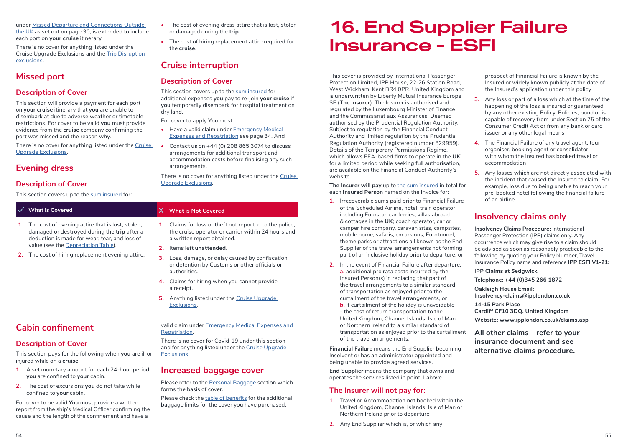under Missed Departure and Connections Outside the UK as set out on page 30, is extended to include each port on **your cruise** itinerary.

There is no cover for anything listed under the Cruise Upgrade Exclusions and the Trip Disruption exclusions.

### **Missed port**

### **Description of Cover**

This section will provide a payment for each port on **your cruise** itinerary that **you** are unable to disembark at due to adverse weather or timetable restrictions. For cover to be valid **you** must provide evidence from the **cruise** company confirming the port was missed and the reason why.

There is no cover for anything listed under the Cruise Upgrade Exclusions.

### **Evening dress**

### **Description of Cover**

This section covers up to the sum insured for:

| The cost of evening dress attire that is lost, stolen |
|-------------------------------------------------------|
| or damaged during the <b>trip</b> .                   |

**•** The cost of hiring replacement attire required for the **cruise**.

### **Cruise interruption**

### **Description of Cover**

This section covers up to the sum insured for additional expenses **you** pay to re-join **your cruise** if **you** temporarily disembark for hospital treatment on dry land.

For cover to apply **You** must:

- **•** Have a valid claim under Emergency Medical Expenses and Repatriation see page 34. And
- **•** Contact **us** on +44 (0) 208 865 3074 to discuss arrangements for additional transport and accommodation costs before finalising any such arrangements.

There is no cover for anything listed under the Cruise Upgrade Exclusions.

|  | <b>What is Covered</b>                                                                                                                                      |                                                            | X What is Not Covered                                                                                                                    |
|--|-------------------------------------------------------------------------------------------------------------------------------------------------------------|------------------------------------------------------------|------------------------------------------------------------------------------------------------------------------------------------------|
|  | 1. The cost of evening attire that is lost, stolen,<br>damaged or destroyed during the <b>trip</b> after a<br>deduction is made for wear, tear, and loss of | 1.                                                         | Claims for loss or theft not reported to the police,<br>the cruise operator or carrier within 24 hours and<br>a written report obtained. |
|  | value (see the Depreciation Table).<br>2. The cost of hiring replacement evening attire.                                                                    | 2.                                                         | Items left unattended.                                                                                                                   |
|  |                                                                                                                                                             |                                                            | <b>3.</b> Loss, damage, or delay caused by confiscation<br>or detention by Customs or other officials or<br>authorities.                 |
|  |                                                                                                                                                             | 4. Claims for hiring when you cannot provide<br>a receipt. |                                                                                                                                          |
|  |                                                                                                                                                             | 5.                                                         | Anything listed under the Cruise Upgrade<br>Exclusions.                                                                                  |

### **Cabin confinement**

### **Description of Cover**

This section pays for the following when **you** are ill or injured while on a **cruise**:

- **1.** A set monetary amount for each 24-hour period **you** are confined to **your** cabin.
- **2.** The cost of excursions **you** do not take while confined to **your** cabin.

For cover to be valid **You** must provide a written report from the ship's Medical Officer confirming the cause and the length of the confinement and have a

#### valid claim under Emergency Medical Expenses and Repatriation.

There is no cover for Covid-19 under this section and for anything listed under the Cruise Upgrade Exclusions.

### **Increased baggage cover**

Please refer to the Personal Baggage section which forms the basis of cover.

Please check the table of benefits for the additional baggage limits for the cover you have purchased.

## **16. End Supplier Failure Insurance - ESFI**

This cover is provided by International Passenger Protection Limited, IPP House, 22-26 Station Road, West Wickham, Kent BR4 0PR, United Kingdom and is underwritten by Liberty Mutual Insurance Europe SE (**The Insurer**). The Insurer is authorised and regulated by the Luxembourg Minister of Finance and the Commissariat aux Assurances. Deemed authorised by the Prudential Regulation Authority. Subject to regulation by the Financial Conduct Authority and limited regulation by the Prudential Regulation Authority (registered number 829959). Details of the Temporary Permissions Regime, which allows EEA-based firms to operate in the **UK** for a limited period while seeking full authorisation, are available on the Financial Conduct Authority's website.

**The Insurer will pay** up to the sum insured in total for each **Insured Person** named on the Invoice for:

- **1.** Irrecoverable sums paid prior to Financial Failure of the Scheduled Airline, hotel, train operator including Eurostar, car ferries; villas abroad & cottages in the **UK**; coach operator, car or camper hire company, caravan sites, campsites, mobile home, safaris; excursions; Eurotunnel; theme parks or attractions all known as the End Supplier of the travel arrangements not forming part of an inclusive holiday prior to departure, or
- **2.** In the event of Financial Failure after departure: **a.** additional pro rata costs incurred by the Insured Person(s) in replacing that part of the travel arrangements to a similar standard of transportation as enjoyed prior to the curtailment of the travel arrangements, or **b.** if curtailment of the holiday is unavoidable
- the cost of return transportation to the United Kingdom, Channel Islands, Isle of Man or Northern Ireland to a similar standard of transportation as enjoyed prior to the curtailment of the travel arrangements.

**Financial Failure** means the End Supplier becoming Insolvent or has an administrator appointed and being unable to provide agreed services.

**End Supplier** means the company that owns and operates the services listed in point 1 above.

### **The Insurer will not pay for:**

- **1.** Travel or Accommodation not booked within the United Kingdom, Channel Islands, Isle of Man or Northern Ireland prior to departure
- **2.** Any End Supplier which is, or which any

prospect of Financial Failure is known by the Insured or widely known publicly at the date of the Insured's application under this policy

- **3.** Any loss or part of a loss which at the time of the happening of the loss is insured or guaranteed by any other existing Policy, Policies, bond or is capable of recovery from under Section 75 of the Consumer Credit Act or from any bank or card issuer or any other legal means
- **4.** The Financial Failure of any travel agent, tour organiser, booking agent or consolidator with whom the Insured has booked travel or accommodation
- **5.** Any losses which are not directly associated with the incident that caused the Insured to claim. For example, loss due to being unable to reach your pre-booked hotel following the financial failure of an airline.

### **Insolvency claims only**

**Insolvency Claims Procedure:** International Passenger Protection (IPP) claims only. Any occurrence which may give rise to a claim should be advised as soon as reasonably practicable to the following by quoting your Policy Number, Travel Insurance Policy name and reference **IPP ESFI V1-21:** 

**IPP Claims at Sedgwick** 

**Telephone: +44 (0)345 266 1872** 

**Oakleigh House Email: Insolvency-claims@ipplondon.co.uk** 

**14-15 Park Place Cardiff CF10 3DQ. United Kingdom Website: www.ipplondon.co.uk/claims.asp** 

**All other claims – refer to your insurance document and see alternative claims procedure.**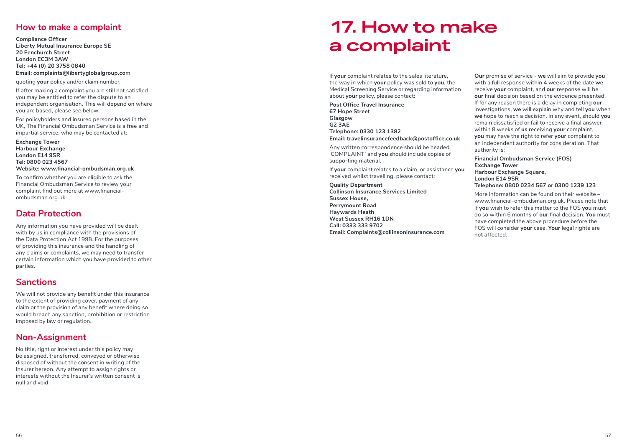### **How to make a complaint**

**Compliance Officer Liberty Mutual Insurance Europe SE 20 Fenchurch Street London EC3M 3AW Tel: +44 (0) 20 3758 0840 Email: complaints@libertyglobalgroup.co**m

quoting **your** policy and/or claim number.

If after making a complaint you are still not satisfied you may be entitled to refer the dispute to an independent organisation. This will depend on where you are based, please see below.

For policyholders and insured persons based in the UK, The Financial Ombudsman Service is a free and impartial service, who may be contacted at:

**Exchange Tower Harbour Exchange London E14 9SR Tel: 0800 023 4567 Website: www.financial-ombudsman.org.uk** 

To confirm whether you are eligible to ask the Financial Ombudsman Service to review your complaint find out more at www.financialombudsman.org.uk

### **Data Protection**

Any information you have provided will be dealt with by us in compliance with the provisions of the Data Protection Act 1998. For the purposes of providing this insurance and the handling of any claims or complaints, we may need to transfer certain information which you have provided to other parties.

### **Sanctions**

We will not provide any benefit under this insurance to the extent of providing cover, payment of any claim or the provision of any benefit where doing so would breach any sanction, prohibition or restriction imposed by law or regulation.

### **Non-Assignment**

No title, right or interest under this policy may be assigned, transferred, conveyed or otherwise disposed of without the consent in writing of the Insurer hereon. Any attempt to assign rights or interests without the Insurer's written consent is null and void.

## **17. How to make a complaint**

If **your** complaint relates to the sales literature, the way in which **your** policy was sold to **you**, the Medical Screening Service or regarding information about **your** policy, please contact:

**Post Office Travel Insurance 67 Hope Street Glasgow G2 3AE Telephone: 0330 123 1382 Email: travelinsurancefeedback@postoffice.co.uk**

Any written correspondence should be headed 'COMPLAINT' and **you** should include copies of supporting material.

If **your** complaint relates to a claim, or assistance **you** received whilst travelling, please contact:

**Quality Department Collinson Insurance Services Limited Sussex House, Perrymount Road Haywards Heath West Sussex RH16 1DN Call: 0333 333 9702 Email: Complaints@collinsoninsurance.com**

**Our** promise of service - **we** will aim to provide **you** with a full response within 4 weeks of the date **we** receive **your** complaint, and **our** response will be **our** final decision based on the evidence presented. If for any reason there is a delay in completing **our** investigations, **we** will explain why and tell **you** when **we** hope to reach a decision. In any event, should **you** remain dissatisfied or fail to receive a final answer within 8 weeks of **us** receiving **your** complaint, **you** may have the right to refer **your** complaint to an independent authority for consideration. That authority is:

**Financial Ombudsman Service (FOS) Exchange Tower Harbour Exchange Square, London E14 9SR Telephone: 0800 0234 567 or 0300 1239 123**

More information can be found on their website – www.financial-ombudsman.org.uk. Please note that if **you** wish to refer this matter to the FOS **you** must do so within 6 months of **our** final decision. **You** must have completed the above procedure before the FOS will consider **your** case. **Your** legal rights are not affected.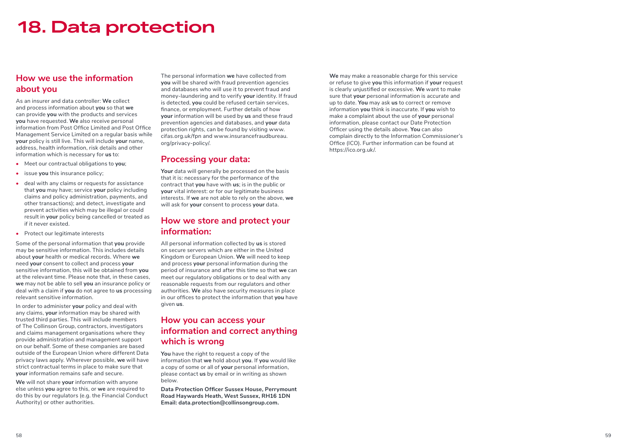## **18. Data protection**

### **How we use the information about you**

As an insurer and data controller: **We** collect and process information about **you** so that **we** can provide **you** with the products and services **you** have requested. **We** also receive personal information from Post Office Limited and Post Office Management Service Limited on a regular basis while **your** policy is still live. This will include **your** name, address, health information, risk details and other information which is necessary for **us** to:

- **•** Meet our contractual obligations to **you**;
- **•** issue **you** this insurance policy;
- **•** deal with any claims or requests for assistance that **you** may have; service **your** policy including claims and policy administration, payments, and other transactions); and detect, investigate and prevent activities which may be illegal or could result in **your** policy being cancelled or treated as if it never existed.
- **•** Protect our legitimate interests

Some of the personal information that **you** provide may be sensitive information. This includes details about **your** health or medical records. Where **we** need **your** consent to collect and process **your** sensitive information, this will be obtained from **you** at the relevant time. Please note that, in these cases, **we** may not be able to sell **you** an insurance policy or deal with a claim if **you** do not agree to **us** processing relevant sensitive information.

In order to administer **your** policy and deal with any claims, **your** information may be shared with trusted third parties. This will include members of The Collinson Group, contractors, investigators and claims management organisations where they provide administration and management support on our behalf. Some of these companies are based outside of the European Union where different Data privacy laws apply. Wherever possible, **we** will have strict contractual terms in place to make sure that **your** information remains safe and secure.

**We** will not share **your** information with anyone else unless **you** agree to this, or **we** are required to do this by our regulators (e.g. the Financial Conduct Authority) or other authorities.

The personal information **we** have collected from **you** will be shared with fraud prevention agencies and databases who will use it to prevent fraud and money-laundering and to verify **your** identity. If fraud is detected, **you** could be refused certain services, finance, or employment. Further details of how **your** information will be used by **us** and these fraud prevention agencies and databases, and **your** data protection rights, can be found by visiting www. cifas.org.uk/fpn and www.insurancefraudbureau. org/privacy-policy/.

### **Processing your data:**

**Your** data will generally be processed on the basis that it is: necessary for the performance of the contract that **you** have with **us**; is in the public or **your** vital interest: or for our legitimate business interests. If **we** are not able to rely on the above, **we** will ask for **your** consent to process **your** data.

### **How we store and protect your information:**

All personal information collected by **us** is stored on secure servers which are either in the United Kingdom or European Union. **We** will need to keep and process **your** personal information during the period of insurance and after this time so that **we** can meet our regulatory obligations or to deal with any reasonable requests from our regulators and other authorities. **We** also have security measures in place in our offices to protect the information that **you** have given **us** .

### **How you can access your information and correct anything which is wrong**

**You** have the right to request a copy of the information that **we** hold about **you**. If **you** would like a copy of some or all of **your** personal information, please contact **us** by email or in writing as shown below.

**Data Protection Officer Sussex House, Perrymount Road Haywards Heath, West Sussex, RH16 1DN Email: data.protection@collinsongroup.com.**

**We** may make a reasonable charge for this service or refuse to give **you** this information if **your** request is clearly unjustified or excessive. **We** want to make sure that **your** personal information is accurate and up to date. **You** may ask **us** to correct or remove information **you** think is inaccurate. If **you** wish to make a complaint about the use of **your** personal information, please contact our Date Protection Officer using the details above. **You** can also complain directly to the Information Commissioner's Office (ICO). Further information can be found at https://ico.org.uk/.